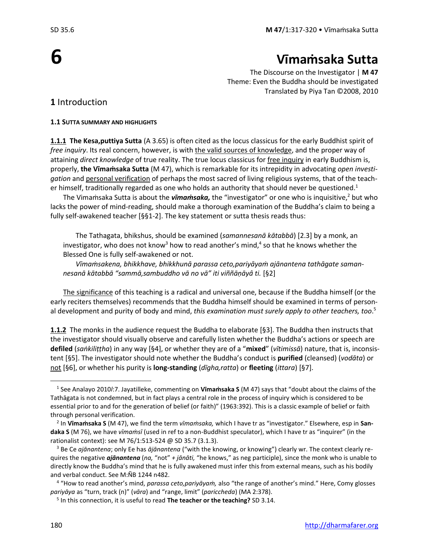# **6**

# **Vīmaṁsaka Sutta**

The Discourse on the Investigator | **M 47**  Theme: Even the Buddha should be investigated Translated by Piya Tan ©2008, 2010

# **1** Introduction

#### **1.1 SUTTA SUMMARY AND HIGHLIGHTS**

**1.1.1 The Kesa,puttiya Sutta** (A 3.65) is often cited as the locus classicus for the early Buddhist spirit of *free inquiry*. Its real concern, however, is with the valid sources of knowledge, and the proper way of attaining *direct knowledge* of true reality. The true locus classicus for free inquiry in early Buddhism is, properly, **the Vīmaṁsaka Sutta** (M 47), which is remarkable for its intrepidity in advocating *open investigation* and personal verification of perhaps the most sacred of living religious systems, that of the teacher himself, traditionally regarded as one who holds an authority that should never be questioned.<sup>1</sup>

The Vimaṁsaka Sutta is about the *vīmaṁsaka,* the "investigator" or one who is inquisitive, <sup>2</sup> but who lacks the power of mind-reading, should make a thorough examination of the Buddha's claim to being a fully self-awakened teacher [§§1-2]. The key statement or sutta thesis reads thus:

The Tathagata, bhikshus, should be examined (*samannesanā kātabbā*) [2.3] by a monk, an investigator, who does not know<sup>3</sup> how to read another's mind,<sup>4</sup> so that he knows whether the Blessed One is fully self-awakened or not.

*Vīmaṁsakena, bhikkhave, bhikkhunā parassa ceto,pariyāyaṁ ajānantena tathāgate samannesanā kātabbā "sammā,sambuddho vā no vā" iti viññāṇāyâ ti.* [§2]

The significance of this teaching is a radical and universal one, because if the Buddha himself (or the early reciters themselves) recommends that the Buddha himself should be examined in terms of personal development and purity of body and mind, *this examination must surely apply to other teachers, too*. 5

**1.1.2** The monks in the audience request the Buddha to elaborate [§3]. The Buddha then instructs that the investigator should visually observe and carefully listen whether the Buddha's actions or speech are **defiled** (*saṅkiliṭṭha*) in any way [§4], or whether they are of a "**mixed**" (*vītimissā*) nature, that is, inconsistent [§5]. The investigator should note whether the Buddha's conduct is **purified** (cleansed) (*vodāta*) or not [§6], or whether his purity is **long-standing** (*dīgha,ratta*) or **fleeting** (*ittara*) [§7].

<sup>1</sup> See Analayo 2010*l*:7. Jayatilleke, commenting on **Vīmaṁsaka S** (M 47) says that "doubt about the claims of the Tathāgata is not condemned, but in fact plays a central role in the process of inquiry which is considered to be essential prior to and for the generation of belief (or faith)" (1963:392). This is a classic example of belief or faith through personal verification.

<sup>2</sup> In **Vīmaṁsaka S** (M 47), we find the term *vīmaṁsaka,* which I have tr as "investigator." Elsewhere, esp in **Sandaka S** (M 76), we have *vīmaṁsī* (used in ref to a non-Buddhist speculator), which I have tr as "inquirer" (in the rationalist context): see M 76/1:513-524 @ SD 35.7 (3.1.3).

<sup>3</sup> Be Ce *ajānantena*; only Ee has *ājānantena* ("with the knowing, or knowing") clearly wr. The context clearly requires the negative *ajānantena* (*na,* "not" *+ jānāti,* "he knows," as neg participle), since the monk who is unable to directly know the Buddha's mind that he is fully awakened must infer this from external means, such as his bodily and verbal conduct. See M:ÑB 1244 n482.

<sup>4</sup> "How to read another's mind, *parassa ceto,pariyāyaṁ,* also "the range of another's mind." Here, Comy glosses *pariyāya* as "turn, track (n)" (*vāra*) and "range, limit" (*pariccheda*) (MA 2:378).

<sup>5</sup> In this connection, it is useful to read **The teacher or the teaching?** SD 3.14.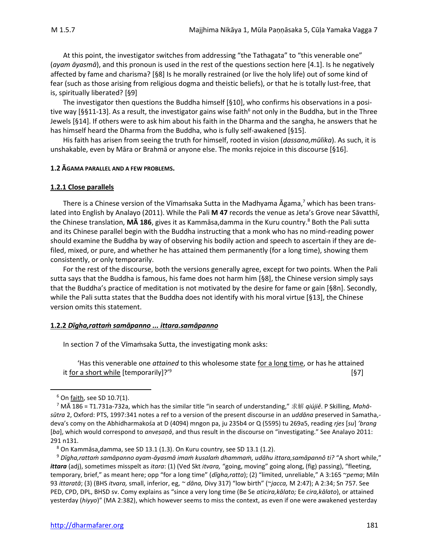At this point, the investigator switches from addressing "the Tathagata" to "this venerable one" (*ayam āyasmā*), and this pronoun is used in the rest of the questions section here [4.1]. Is he negatively affected by fame and charisma? [§8] Is he morally restrained (or live the holy life) out of some kind of fear (such as those arising from religious dogma and theistic beliefs), or that he is totally lust-free, that is, spiritually liberated? [§9]

The investigator then questions the Buddha himself [§10], who confirms his observations in a positive way [§§11-13]. As a result, the investigator gains wise faith<sup>6</sup> not only in the Buddha, but in the Three Jewels [§14]. If others were to ask him about his faith in the Dharma and the sangha, he answers that he has himself heard the Dharma from the Buddha, who is fully self-awakened [§15].

His faith has arisen from seeing the truth for himself, rooted in vision (*dassana,mūlika*). As such, it is unshakable, even by Māra or Brahmā or anyone else. The monks rejoice in this discourse [§16].

#### **1.2 ĀGAMA PARALLEL AND A FEW PROBLEMS.**

#### **1.2.1 Close parallels**

There is a Chinese version of the Vīmaṁsaka Sutta in the Madhyama Āgama,<sup>7</sup> which has been translated into English by Analayo (2011). While the Pali **M 47** records the venue as Jeta's Grove near Sāvatthī, the Chinese translation, **MA 186**, gives it as Kammāsa,damma in the Kuru country.<sup>8</sup> Both the Pali sutta and its Chinese parallel begin with the Buddha instructing that a monk who has no mind-reading power should examine the Buddha by way of observing his bodily action and speech to ascertain if they are defiled, mixed, or pure, and whether he has attained them permanently (for a long time), showing them consistently, or only temporarily.

For the rest of the discourse, both the versions generally agree, except for two points. When the Pali sutta says that the Buddha is famous, his fame does not harm him [§8], the Chinese version simply says that the Buddha's practice of meditation is not motivated by the desire for fame or gain [§8n]. Secondly, while the Pali sutta states that the Buddha does not identify with his moral virtue [§13], the Chinese version omits this statement.

#### **1.2.2** *Dīgha,rattaṁ samāpanno ... ittara.samāpanno*

In section 7 of the Vīmaṁsaka Sutta, the investigating monk asks:

'Has this venerable one *attained* to this wholesome state for a long time, or has he attained it for a short while [temporarily]?'<sup>9</sup> [§7]

 $6$  On faith, see SD 10.7(1).

<sup>7</sup> MĀ 186 = T1.731a-732a, which has the similar title "in search of understanding," 求解 *qiújiě*. P Skilling, *Mahāsūtra* 2, Oxford: PTS, 1997:341 notes a ref to a version of the present discourse in an *uddāna* preserved in Samatha, deva's comy on the Abhidharmakośa at D (4094) mngon pa, ju 235b4 or Q (5595) tu 269a5, reading *rjes* [*su*] *'brang* [*ba*], which would correspond to *anveṣaṇā*, and thus result in the discourse on "investigating." See Analayo 2011: 291 n131.

 $8$  On Kammāsa,damma, see SD 13.1 (1.3). On Kuru country, see SD 13.1 (1.2).

<sup>9</sup> *Dīgha,rattaṁ samāpanno ayam-āyasmā imaṁ kusalaṁ dhammaṁ, udāhu ittara,samāpannô ti?* "A short while," *ittara* (adj), sometimes misspelt as *itara*: (1) (Ved Skt *itvara,* "going, moving" going along, (fig) passing), "fleeting, temporary, brief," as meant here; opp "for a long time" (*dīgha,ratta*); (2) "limited, unreliable," A 3:165 ~*pema*; Miln 93 *ittaratā*; (3) (BHS *itvara,* small, inferior, eg, *~ dāna,* Divy 317) "low birth" (~*jacca,* M 2:47); A 2:34; Sn 757. See PED, CPD, DPL, BHSD sv. Comy explains as "since a very long time (Be Se *aticira,kālato;* Ee *cira,kālato*), or attained yesterday (*hiyyo*)" (MA 2:382), which however seems to miss the context, as even if one were awakened yesterday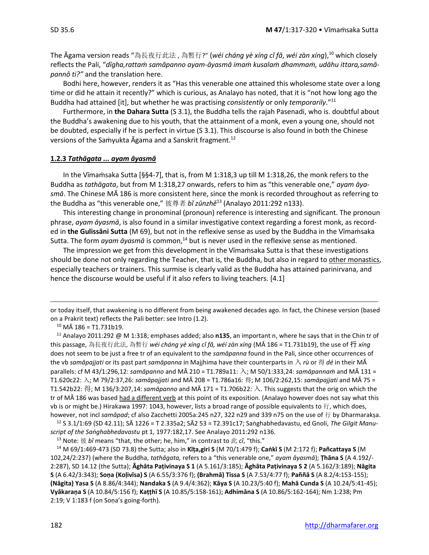The Āgama version reads "為長夜行此法 , 為暫行?" (*wéi cháng yè xíng cǐ fǎ*, *wéi zàn xíng*), <sup>10</sup> which closely reflects the Pali, "*dīgha,rattaṁ samāpanno ayam-āyasmā imaṁ kusalaṁ dhammaṁ, udāhu ittara,samāpannô ti?"* and the translation here.

Bodhi here, however, renders it as "Has this venerable one attained this wholesome state over a long time or did he attain it recently?" which is curious, as Analayo has noted, that it is "not how long ago the Buddha had attained [it], but whether he was practising *consistently* or only *temporarily*." 11

Furthermore, in **the Dahara Sutta** (S 3.1), the Buddha tells the rajah Pasenadi, who is. doubtful about the Buddha's awakening due to his youth, that the attainment of a monk, even a young one, should not be doubted, especially if he is perfect in virtue (S 3.1). This discourse is also found in both the Chinese versions of the Samyukta Āgama and a Sanskrit fragment.<sup>12</sup>

#### **1.2.3** *Tathāgata ... ayam āyasmā*

In the Vīmaṁsaka Sutta [§§4-7], that is, from M 1:318,3 up till M 1:318,26, the monk refers to the Buddha as *tathāgata*, but from M 1:318,27 onwards, refers to him as "this venerable one," *ayam āyasmā*. The Chinese MĀ 186 is more consistent here, since the monk is recorded throughout as referring to the Buddha as "this venerable one," 彼尊者 *bǐ zūnzhě*<sup>13</sup> (Analayo 2011:292 n133).

This interesting change in pronominal (pronoun) reference is interesting and significant. The pronoun phrase, *ayam āyasmā*, is also found in a similar investigative context regarding a forest monk, as recorded in **the Gulissāni Sutta** (M 69), but not in the reflexive sense as used by the Buddha in the Vīmaṁsaka Sutta. The form *ayam āyasmā* is common,<sup>14</sup> but is never used in the reflexive sense as mentioned.

The impression we get from this development in the Vīmamsaka Sutta is that these investigations should be done not only regarding the Teacher, that is, the Buddha, but also in regard to other monastics, especially teachers or trainers. This surmise is clearly valid as the Buddha has attained parinirvana, and hence the discourse would be useful if it also refers to living teachers. [4.1]

or today itself, that awakening is no different from being awakened decades ago. In fact, the Chinese version (based on a Prakrit text) reflects the Pali better: see Intro (1.2).

<sup>10</sup> MĀ 186 = T1.731b19.

<sup>11</sup> Analayo 2011:292 @ M 1:318; emphases added; also **n135**, an important n, where he says that in the Chin tr of this passage, 為長夜行此法, 為暫行 *wéi cháng yè xíng cǐ fǎ, wéi zàn xíng* (MĀ 186 = T1.731b19), the use of 行 *xíng*  does not seem to be just a free tr of an equivalent to the *samāpanna* found in the Pali, since other occurrences of the vb *samāpajjati* or its past part *samāpanna* in Majjhima have their counterparts in 入 *rù* or 得 *dé* in their MĀ parallels: cf M 43/1:296,12: *samāpanno* and MĀ 210 = T1.789a11: 入; M 50/1:333,24: *samāpannaṁ* and MĀ 131 = T1.620c22: 入; M 79/2:37,26: *samāpajjati* and MĀ 208 = T1.786a16: 得; M 106/2:262,15: *samāpajjati* and MĀ 75 = T1.542b22: 得; M 136/3:207,14: *samāpanno* and MĀ 171 = T1.706b22: 入. This suggests that the orig on which the tr of MĀ 186 was based had a different verb at this point of its exposition. (Analayo however does not say what this vb is or might be.) Hirakawa 1997: 1043, however, lists a broad range of possible equivalents to 行, which does, however, not incl *samāpad*; cf also Zacchetti 2005a:245 n27, 322 n29 and 339 n75 on the use of 行 by Dharmarakṣa.

<sup>12</sup> S 3.1/1:69 (SD 42.11); SĀ 1226 = T 2.335a2; SĀ2 53 = T2.391c17; Saṅghabhedavastu, ed Gnoli, *The Gilgit Manuscript of the Saṅghabhedavastu* pt 1, 1977:182,17. See Analayo 2011:292 n136.

<sup>13</sup> Note: 彼 *bi* means "that, the other; he, him," in contrast to 此  $ci$ , "this."

<sup>14</sup> M 69/1:469-473 (SD 73.8) the Sutta; also in **Kīṭa,giri S** (M 70/1:479 f); **Caṅkī S** (M 2:172 f); **Pañcattaya S** (M 102,24/2:237) (where the Buddha, *tathāgata,* refers to a "this venerable one," *ayam āyasmā*); **Ṭhāna S** (A 4.192/- 2:287), SD 14.12 (the Sutta); **Āghāta Paṭivinaya S 1** (A 5.161/3:185); **Āghāta Paṭivinaya S 2** (A 5.162/3:189); **Nāgita S** (A 6.42/3:343); **Soṇa (Koḷivīsa) S** (A 6.55/3:376 f); **(Brahmā) Tissa S** (A 7.53/4:77 f); **Paññā S** (A 8.2/4:153-155); **(Nāgita) Yasa S** (A 8.86/4:344); **Nandaka S** (A 9.4/4:362); **Kāya S** (A 10.23/5:40 f); **Mahā Cunda S** (A 10.24/5:41-45); **Vyākaraṇa S** (A 10.84/5:156 f); **Kaṭṭhī S** (A 10.85/5:158-161); **Adhimāna S** (A 10.86/5:162-164); Nm 1:238; Pm 2:19; V 1:183 f (on Soṇa's going-forth).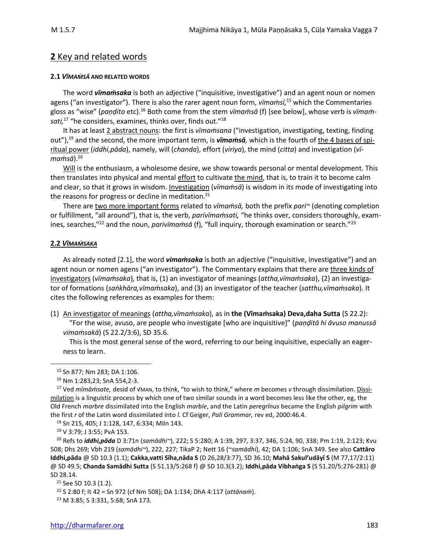# **2** Key and related words

#### **2.1** *VĪMAṀSĀ* **AND RELATED WORDS**

The word *vīmaṁsaka* is both an adjective ("inquisitive, investigative") and an agent noun or nomen agens ("an investigator"). There is also the rarer agent noun form, *vīmaṁsī,* <sup>15</sup> which the Commentaries gloss as "wise" (*paṇḍito* etc).<sup>16</sup> Both come from the stem *vīmaṁsā* (f) [see below], whose verb is *vīmaṁsati,* <sup>17</sup> "he considers, examines, thinks over, finds out."<sup>18</sup>

It has at least 2 abstract nouns: the first is *vīmaṁsana* ("investigation, investigating, texting, finding out"),<sup>19</sup> and the second, the more important term, is *vīmaṁsā,* which is the fourth of the 4 bases of spiritual power (*iddhi,pāda*), namely, will (*chanda*), effort (*viriya*), the mind (*citta*) and investigation (*vī* $manis\bar{a}$ ).<sup>20</sup>

Will is the enthusiasm, a wholesome desire, we show towards personal or mental development. This then translates into physical and mental effort to cultivate the mind, that is, to train it to become calm and clear, so that it grows in wisdom. Investigation (*vīmaṁsā*) is wisdom in its mode of investigating into the reasons for progress or decline in meditation. $21$ 

There are two more important forms related to *vīmaṁsā,* both the prefix *pari~* (denoting completion or fulfillment, "all around"), that is, the verb, *parivīmaṁsati,* "he thinks over, considers thoroughly, examines, searches,"<sup>22</sup> and the noun, *parivīmaṁsā* (f)*,* "full inquiry, thorough examination or search."<sup>23</sup>

#### **2.2** *VĪMAṀSAKA*

As already noted [2.1], the word *vimaṁsaka* is both an adjective ("inquisitive, investigative") and an agent noun or nomen agens ("an investigator"). The Commentary explains that there are three kinds of investigators (*vīmaṁsaka*)*,* that is, (1) an investigator of meanings (*attha,vīmaṁsaka*), (2) an investigator of formations (*saṅkhāra,vīmaṁsaka*), and (3) an investigator of the teacher (*satthu,vīmaṁsaka*). It cites the following references as examples for them:

(1) An investigator of meanings (*attha,vīmaṁsaka*), as in **the (Vīmaṁsaka) Deva,daha Sutta** (S 22.2): "For the wise, avuso, are people who investigate [who are inquisitive]" (*paṇḍitā hi āvuso manussā vimaṁsakā*) (S 22.2/3:6), SD 35.6.

This is the most general sense of the word, referring to our being inquisitive, especially an eagerness to learn.

<sup>18</sup> Sn 215, 405; J 1:128, 147, 6:334; Miln 143.

<sup>19</sup> V 3:79; J 3:55; PvA 153.

<sup>20</sup> Refs to *iddhi,pāda* D 3:71n (*samādhi~*), 222; S 5:280; A 1:39, 297, 3:37, 346, 5:24, 90, 338; Pm 1:19, 2:123; Kvu 508; Dhs 269; Vbh 219 (*samādhi~*), 222, 227; TikaP 2; Nett 16 (~*samādhi*), 42; DA 1:106; SnA 349. See also **Cattāro Iddhi,pāda** @ SD 10.3 (1.1); **Cakka,vatti Sīha,nāda S** (D 26,28/3:77), SD 36.10; **Mahā Sakul'udāyī S** (M 77,17/2:11) @ SD 49.5; **Chanda Samādhi Sutta** (S 51.13/5:268 f) @ SD 10.3(3.2); **Iddhi,pāda Vibhaṅga S** (S 51.20/5:276-281) @ SD 28.14.

<sup>15</sup> Sn 877; Nm 283; DA 1:106.

<sup>16</sup> Nm 1:283,23; SnA 554,2-3.

<sup>17</sup> Ved *mīmāṁsate,* desid of √MAN, to think, "to wish to think," where *m* becomes *v* through dissimilation. Dissimilation is a linguistic process by which one of two similar sounds in a word becomes less like the other, eg, the Old French *marbre* dissimilated into the English *marble*, and the Latin *peregrīnus* became the English *pilgrim* with the first *r* of the Latin word dissimilated into *l.* Cf Geiger, *Pali Grammar,* rev ed, 2000:46.4.

<sup>21</sup> See SD 10.3 (1.2).

<sup>22</sup> S 2:80 f; It 42 = Sn 972 (cf Nm 508); DA 1:134; DhA 4:117 (*attānaṁ*).

<sup>23</sup> M 3:85; S 3:331, 5:68; SnA 173.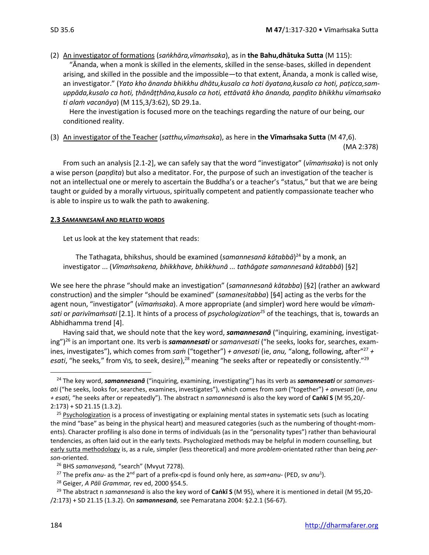(2) An investigator of formations (*saṅkhāra,vīmaṁsaka*), as in **the Bahu,dhātuka Sutta** (M 115): "Ānanda, when a monk is skilled in the elements, skilled in the sense-bases, skilled in dependent arising, and skilled in the possible and the impossible*—*to that extent, Ānanda, a monk is called wise, an investigator." (*Yato kho ānanda bhikkhu dhātu,kusalo ca hoti āyatana,kusalo ca hoti, paṭicca,samuppāda,kusalo ca hoti, ṭhānâṭṭhāna,kusalo ca hoti, ettāvatā kho ānanda, paṇḍito bhikkhu vīmaṁsako ti alaṁ vacanāya*) (M 115,3/3:62), SD 29.1a.

Here the investigation is focused more on the teachings regarding the nature of our being, our conditioned reality.

(3) An investigator of the Teacher (*satthu,vīmaṁsaka*), as here in **the Vīmaṁsaka Sutta** (M 47,6). (MA 2:378)

From such an analysis [2.1-2], we can safely say that the word "investigator" (*vīmaṁsaka*) is not only a wise person (*paṇḍita*) but also a meditator. For, the purpose of such an investigation of the teacher is not an intellectual one or merely to ascertain the Buddha's or a teacher's "status," but that we are being taught or guided by a morally virtuous, spiritually competent and patiently compassionate teacher who is able to inspire us to walk the path to awakening.

#### **2.3** *SAMANNESANĀ* **AND RELATED WORDS**

Let us look at the key statement that reads:

The Tathagata, bhikshus, should be examined (*samannesanā kātabbā*) <sup>24</sup> by a monk, an investigator ... (*Vīmaṁsakena, bhikkhave, bhikkhunā ... tathāgate samannesanā kātabbā*) [§2]

We see here the phrase "should make an investigation" (*samannesanā kātabba*) [§2] (rather an awkward construction) and the simpler "should be examined" (*samanesitabba*) [§4] acting as the verbs for the agent noun, "investigator" (*vīmaṁsaka*). A more appropriate (and simpler) word here would be *vīmaṁsati* or *parivīmaṁsati* [2.1]. It hints of a process of *psychologization<sup>25</sup>* of the teachings, that is, towards an Abhidhamma trend [4].

Having said that, we should note that the key word, *samannesanā* ("inquiring, examining, investigating")<sup>26</sup> is an important one. Its verb is *samannesati* or *samanvesati* ("he seeks, looks for, searches, examines, investigates"), which comes from *saṁ* ("together") *+ anvesati* (ie, *anu,* "along, following, after"<sup>27</sup> *+*  esati, "he seeks," from √Iṣ, to seek, desire),<sup>28</sup> meaning "he seeks after or repeatedly or consistently."<sup>29</sup>

<sup>24</sup> The key word, *samannesanā* ("inquiring, examining, investigating") has its verb as *samannesati* or *samanvesati* ("he seeks, looks for, searches, examines, investigates"), which comes from *saṁ* ("together") *+ anvesati* (ie, *anu + esati,* "he seeks after or repeatedly"). The abstract n *samannesanā* is also the key word of **Caṅkī S** (M 95,20/- 2:173) + SD 21.15 (1.3.2).

<sup>&</sup>lt;sup>25</sup> Psychologization is a process of investigating or explaining mental states in systematic sets (such as locating the mind "base" as being in the physical heart) and measured categories (such as the numbering of thought-moments). Character profiling is also done in terms of individuals (as in the "personality types") rather than behavioural tendencies, as often laid out in the early texts. Psychologized methods may be helpful in modern counselling, but early sutta methodology is, as a rule, simpler (less theoretical) and more *problem*-orientated rather than being *person*-oriented.

<sup>26</sup> BHS *samanveṣanā,* "search" (Mvyut 7278).

<sup>&</sup>lt;sup>27</sup> The prefix *anu*- as the 2<sup>nd</sup> part of a prefix-cpd is found only here, as *sam+anu*- (PED, sv *anu*<sup>1</sup>).

<sup>28</sup> Geiger, *A Pāli Grammar,* rev ed, 2000 §54.5.

<sup>29</sup> The abstract n *samannesanā* is also the key word of **Caṅkī S** (M 95), where it is mentioned in detail (M 95,20- /2:173) + SD 21.15 (1.3.2). On *samannesanā,* see Pemaratana 2004: §2.2.1 (56-67).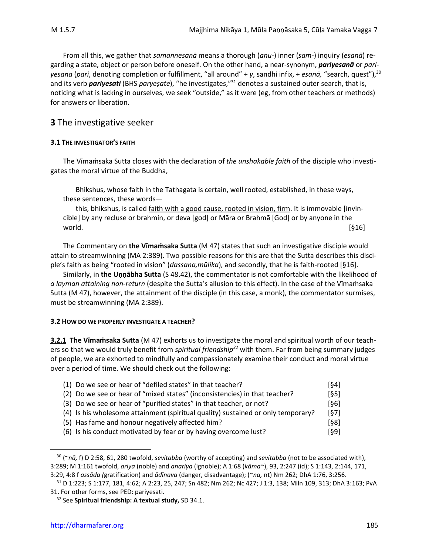From all this, we gather that *samannesanā* means a thorough (*anu-*) inner (*sam-*) inquiry (*esanā*) regarding a state, object or person before oneself. On the other hand, a near-synonym, *pariyesanā* or *pariyesana* (*pari*, denoting completion or fulfillment, "all around" + *y*, sandhi infix, + *esanā,* "search, quest"),<sup>30</sup> and its verb *pariyesati* (BHS *paryeṣate*), "he investigates," <sup>31</sup> denotes a sustained outer search, that is, noticing what is lacking in ourselves, we seek "outside," as it were (eg, from other teachers or methods) for answers or liberation.

# **3** The investigative seeker

#### **3.1 THE INVESTIGATOR'S FAITH**

The Vīmaṁsaka Sutta closes with the declaration of *the unshakable faith* of the disciple who investigates the moral virtue of the Buddha,

Bhikshus, whose faith in the Tathagata is certain, well rooted, established, in these ways, these sentences, these words—

this, bhikshus, is called faith with a good cause, rooted in vision, firm. It is immovable [invincible] by any recluse or brahmin, or deva [god] or Māra or Brahmā [God] or by anyone in the  $\text{world.} \tag{§16}$ 

The Commentary on **the Vīmaṁsaka Sutta** (M 47) states that such an investigative disciple would attain to streamwinning (MA 2:389). Two possible reasons for this are that the Sutta describes this disciple's faith as being "rooted in vision" (*dassana,mūlika*), and secondly, that he is faith-rooted [§16].

Similarly, in **the Uṇṇābha Sutta** (S 48.42), the commentator is not comfortable with the likelihood of *a layman attaining non-return* (despite the Sutta's allusion to this effect). In the case of the Vīmaṁsaka Sutta (M 47), however, the attainment of the disciple (in this case, a monk), the commentator surmises, must be streamwinning (MA 2:389).

#### **3.2 HOW DO WE PROPERLY INVESTIGATE A TEACHER?**

**3.2.1 The Vīmaṁsaka Sutta** (M 47) exhorts us to investigate the moral and spiritual worth of our teachers so that we would truly benefit from *spiritual friendship<sup>32</sup>* with them. Far from being summary judges of people, we are exhorted to mindfully and compassionately examine their conduct and moral virtue over a period of time. We should check out the following:

| (1) Do we see or hear of "defiled states" in that teacher?                       | [§4] |
|----------------------------------------------------------------------------------|------|
| (2) Do we see or hear of "mixed states" (inconsistencies) in that teacher?       | [65] |
| (3) Do we see or hear of "purified states" in that teacher, or not?              | [§6] |
| (4) Is his wholesome attainment (spiritual quality) sustained or only temporary? | [67] |
| (5) Has fame and honour negatively affected him?                                 | [§8] |
| (6) Is his conduct motivated by fear or by having overcome lust?                 | [§9] |

<sup>30</sup> (~*nā,* f) D 2:58, 61, 280 twofold, *sevitabba* (worthy of accepting) and *sevitabba* (not to be associated with), 3:289; M 1:161 twofold, *ariya* (noble) and *anariya* (ignoble); A 1:68 (*kāma~*), 93, 2:247 (id); S 1:143, 2:144, 171, 3:29, 4:8 f *assāda (*gratification) and *ādīnava* (danger, disadvantage); (~*na,* nt) Nm 262; DhA 1:76, 3:256.

<sup>31</sup> D 1:223; S 1:177, 181, 4:62; A 2:23, 25, 247; Sn 482; Nm 262; Nc 427; J 1:3, 138; Miln 109, 313; DhA 3:163; PvA 31. For other forms, see PED: pariyesati.

<sup>32</sup> See **Spiritual friendship: A textual study,** SD 34.1.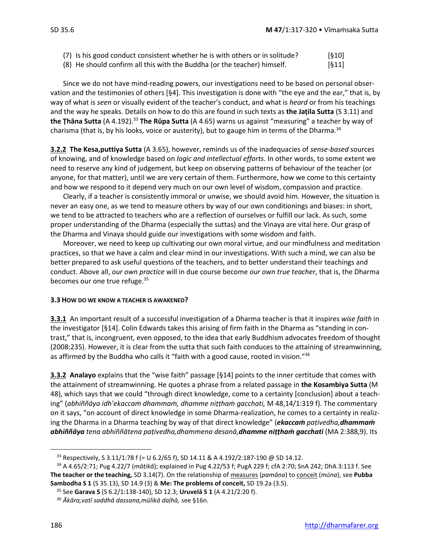- (7) Is his good conduct consistent whether he is with others or in solitude?  $[§10]$
- (8) He should confirm all this with the Buddha (or the teacher) himself. [§11]

Since we do not have mind-reading powers, our investigations need to be based on personal observation and the testimonies of others [§4]. This investigation is done with "the eye and the ear," that is, by way of what is *seen* or visually evident of the teacher's conduct, and what is *heard* or from his teachings and the way he speaks. Details on how to do this are found in such texts as **the Jaṭila Sutta** (S 3.11) and **the Ṭhāna Sutta** (A 4.192).<sup>33</sup> **The Rūpa Sutta** (A 4.65) warns us against "measuring" a teacher by way of charisma (that is, by his looks, voice or austerity), but to gauge him in terms of the Dharma. $34$ 

**3.2.2 The Kesa,puttiya Sutta** (A 3.65), however, reminds us of the inadequacies of *sense-based* sources of knowing, and of knowledge based on *logic and intellectual efforts*. In other words, to some extent we need to reserve any kind of judgement, but keep on observing patterns of behaviour of the teacher (or anyone, for that matter), until we are very certain of them. Furthermore, how we come to this certainty and how we respond to it depend very much on our own level of wisdom, compassion and practice.

Clearly, if a teacher is consistently immoral or unwise, we should avoid him. However, the situation is never an easy one, as we tend to measure others by way of our own conditionings and biases: in short, we tend to be attracted to teachers who are a reflection of ourselves or fulfill our lack. As such, some proper understanding of the Dharma (especially the suttas) and the Vinaya are vital here. Our grasp of the Dharma and Vinaya should guide our investigations with some wisdom and faith.

Moreover, we need to keep up cultivating our own moral virtue, and our mindfulness and meditation practices, so that we have a calm and clear mind in our investigations. With such a mind, we can also be better prepared to ask useful questions of the teachers, and to better understand their teachings and conduct. Above all, *our own practice* will in due course become *our own true teacher*, that is, the Dharma becomes our one true refuge.<sup>35</sup>

#### **3.3 HOW DO WE KNOW A TEACHER IS AWAKENED?**

**3.3.1** An important result of a successful investigation of a Dharma teacher is that it inspires *wise faith* in the investigator [§14]. Colin Edwards takes this arising of firm faith in the Dharma as "standing in contrast," that is, incongruent, even opposed, to the idea that early Buddhism advocates freedom of thought (2008:235). However, it is clear from the sutta that such faith conduces to the attaining of streamwinning, as affirmed by the Buddha who calls it "faith with a good cause, rooted in vision."<sup>36</sup>

**3.3.2 Analayo** explains that the "wise faith" passage [§14] points to the inner certitude that comes with the attainment of streamwinning. He quotes a phrase from a related passage in **the Kosambiya Sutta** (M 48), which says that we could "through direct knowledge, come to a certainty [conclusion] about a teaching" (*abhiññāya idh'ekaccaṁ dhammaṁ, dhamme niṭṭhaṁ gacchati,* M 48,14/1:319 f). The commentary on it says, "on account of direct knowledge in some Dharma-realization, he comes to a certainty in realizing the Dharma in a Dharma teaching by way of that direct knowledge" (*ekaccaṁ paṭivedha,dhammaṁ abhiññāya tena abhiññātena paṭivedha,dhammena desanā,dhamme niṭṭhaṁ gacchati* (MA 2:388,9). Its

<sup>&</sup>lt;sup>33</sup> Respectively, S 3.11/1:78 f (= U 6.2/65 f), SD 14.11 & A 4.192/2:187-190 @ SD 14.12.

<sup>34</sup> A 4.65/2:71; Pug 4.22/7 (*māṭikā*); explained in Pug 4.22/53 f; PugA 229 f; cfA 2:70; SnA 242; DhA 3:113 f. See **The teacher or the teaching,** SD 3.14(7). On the relationship of measures (*pamāṇa*) to conceit (*mna*), see **Pubba Sambodha S 1** (S 35.13), SD 14.9 (3) & **Me: The problems of conceit,** SD 19.2a (3.5).

<sup>35</sup> See **Garava S** (S 6.2/1:138-140), SD 12.3; **Uruvelā S 1** (A 4.21/2:20 f).

<sup>36</sup> *Ākāra,vatī saddhā dassana,mūlikā daḷhā,* see §16n.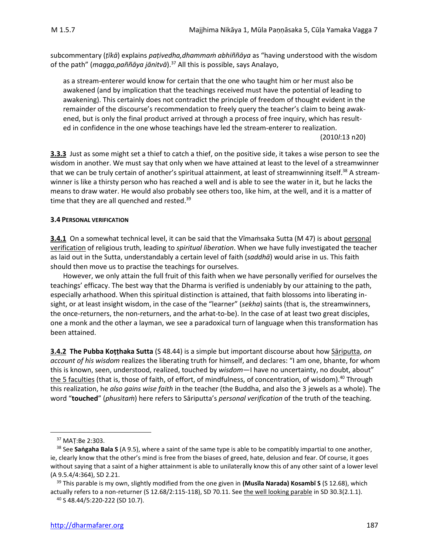subcommentary (*ṭīkā*) explains *paṭivedha,dhammaṁ abhiññāya* as "having understood with the wisdom of the path" (*magga,paññāya jānitvā*). <sup>37</sup> All this is possible, says Analayo,

as a stream-enterer would know for certain that the one who taught him or her must also be awakened (and by implication that the teachings received must have the potential of leading to awakening). This certainly does not contradict the principle of freedom of thought evident in the remainder of the discourse's recommendation to freely query the teacher's claim to being awakened, but is only the final product arrived at through a process of free inquiry, which has resulted in confidence in the one whose teachings have led the stream-enterer to realization.

(2010*l*:13 n20)

**3.3.3** Just as some might set a thief to catch a thief, on the positive side, it takes a wise person to see the wisdom in another. We must say that only when we have attained at least to the level of a streamwinner that we can be truly certain of another's spiritual attainment, at least of streamwinning itself.<sup>38</sup> A streamwinner is like a thirsty person who has reached a well and is able to see the water in it, but he lacks the means to draw water. He would also probably see others too, like him, at the well, and it is a matter of time that they are all quenched and rested.<sup>39</sup>

#### **3.4 PERSONAL VERIFICATION**

**3.4.1** On a somewhat technical level, it can be said that the Vīmamsaka Sutta (M 47) is about personal verification of religious truth, leading to *spiritual liberation*. When we have fully investigated the teacher as laid out in the Sutta, understandably a certain level of faith (*saddhā*) would arise in us. This faith should then move us to practise the teachings for ourselves.

However, we only attain the full fruit of this faith when we have personally verified for ourselves the teachings' efficacy. The best way that the Dharma is verified is undeniably by our attaining to the path, especially arhathood. When this spiritual distinction is attained, that faith blossoms into liberating insight, or at least insight wisdom, in the case of the "learner" (*sekha*) saints (that is, the streamwinners, the once-returners, the non-returners, and the arhat-to-be). In the case of at least two great disciples, one a monk and the other a layman, we see a paradoxical turn of language when this transformation has been attained.

**3.4.2 The Pubba Koṭṭhaka Sutta** (S 48.44) is a simple but important discourse about how Sāriputta, *on account of his wisdom* realizes the liberating truth for himself, and declares: "I am one, bhante, for whom this is known, seen, understood, realized, touched by *wisdom*—I have no uncertainty, no doubt, about" the 5 faculties (that is, those of faith, of effort, of mindfulness, of concentration, of wisdom).<sup>40</sup> Through this realization, he *also gains wise faith* in the teacher (the Buddha, and also the 3 jewels as a whole). The word "**touched**" (*phusitaṁ*) here refers to Sāriputta's *personal verification* of the truth of the teaching.

<sup>37</sup> MAṬ:Be 2:303.

<sup>38</sup> See **Saṅgaha Bala S** (A 9.5), where a saint of the same type is able to be compatibly impartial to one another, ie, clearly know that the other's mind is free from the biases of greed, hate, delusion and fear. Of course, it goes without saying that a saint of a higher attainment is able to unilaterally know this of any other saint of a lower level (A 9.5.4/4:364), SD 2.21.

<sup>39</sup> This parable is my own, slightly modified from the one given in **(Musīla Narada) Kosambī S** (S 12.68), which actually refers to a non-returner (S 12.68/2:115-118), SD 70.11. See the well looking parable in SD 30.3(2.1.1).

<sup>40</sup> S 48.44/5:220-222 (SD 10.7).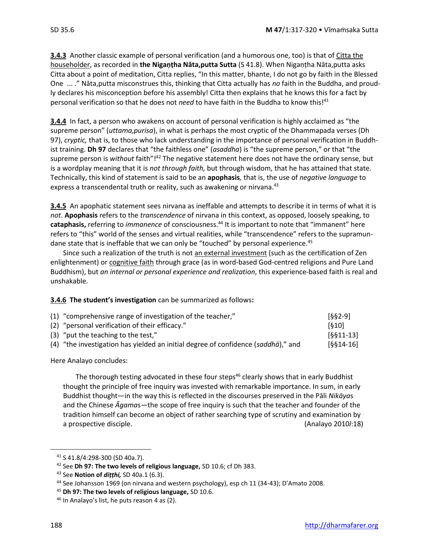**3.4.3** Another classic example of personal verification (and a humorous one, too) is that of Citta the householder, as recorded in **the Nigaṇṭha Nāta,putta Sutta** (S 41.8). When Nigaṇṭha Nāta,putta asks Citta about a point of meditation, Citta replies, "In this matter, bhante, I do not go by faith in the Blessed One ... ." Nāta,putta misconstrues this, thinking that Citta actually has *no* faith in the Buddha, and proudly declares his misconception before his assembly! Citta then explains that he knows this for a fact by personal verification so that he does not *need* to have faith in the Buddha to know this!<sup>41</sup>

**3.4.4** In fact, a person who awakens on account of personal verification is highly acclaimed as "the supreme person" (*uttama,purisa*), in what is perhaps the most cryptic of the Dhammapada verses (Dh 97), *cryptic,* that is, to those who lack understanding in the importance of personal verification in Buddhist training. **Dh 97** declares that "the faithless one" (*asaddha*) is "the supreme person," or that "the supreme person is without faith"!<sup>42</sup> The negative statement here does not have the ordinary sense, but is a wordplay meaning that it is *not through faith,* but through wisdom, that he has attained that state. Technically, this kind of statement is said to be an **apophasis***,* that is, the use of *negative language* to express a transcendental truth or reality, such as awakening or nirvana.<sup>43</sup>

**3.4.5** An apophatic statement sees nirvana as ineffable and attempts to describe it in terms of what it is *not*. **Apophasis** refers to the *transcendence* of nirvana in this context, as opposed, loosely speaking, to **cataphasis,** referring to *immanence* of consciousness.<sup>44</sup> It is important to note that "immanent" here refers to "this" world of the senses and virtual realities, while "transcendence" refers to the supramundane state that is ineffable that we can only be "touched" by personal experience.<sup>45</sup>

Since such a realization of the truth is not an external investment (such as the certification of Zen enlightenment) or cognitive faith through grace (as in word-based God-centred religions and Pure Land Buddhism), but *an internal or personal experience and realization*, this experience-based faith is real and unshakable.

**3.4.6 The student's investigation** can be summarized as follows**:**

| (1) "comprehensive range of investigation of the teacher,"                        | [§§2-9]     |
|-----------------------------------------------------------------------------------|-------------|
| (2) "personal verification of their efficacy."                                    | [610]       |
| (3) "put the teaching to the test,"                                               | $[6611-13]$ |
| (4) "the investigation has yielded an initial degree of confidence (saddhā)," and | $[§§14-16]$ |

Here Analayo concludes:

The thorough testing advocated in these four steps<sup>46</sup> clearly shows that in early Buddhist thought the principle of free inquiry was invested with remarkable importance. In sum, in early Buddhist thought—in the way this is reflected in the discourses preserved in the Pāli *Nikāya*s and the Chinese *Āgama*s—the scope of free inquiry is such that the teacher and founder of the tradition himself can become an object of rather searching type of scrutiny and examination by a prospective disciple. (Analayo 2010*l*:18)

<sup>41</sup> S 41.8/4:298-300 (SD 40a.7).

<sup>42</sup> See **Dh 97: The two levels of religious language,** SD 10.6; cf Dh 383.

<sup>43</sup> See **Notion of** *diṭṭhi,* SD 40a.1 (6.3).

<sup>44</sup> See Johansson 1969 (on nirvana and western psychology), esp ch 11 (34-43); D'Amato 2008.

<sup>45</sup> **Dh 97: The two levels of religious language,** SD 10.6.

<sup>46</sup> In Analayo's list, he puts reason 4 as (2).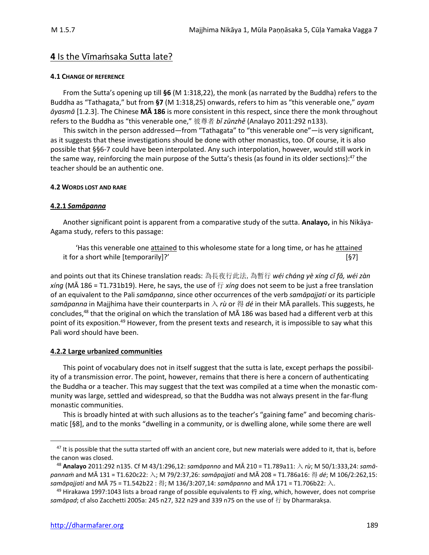# **4** Is the Vīmaṁsaka Sutta late?

#### **4.1 CHANGE OF REFERENCE**

From the Sutta's opening up till **§6** (M 1:318,22), the monk (as narrated by the Buddha) refers to the Buddha as "Tathagata," but from **§7** (M 1:318,25) onwards, refers to him as "this venerable one," *ayam āyasmā* [1.2.3]. The Chinese **MĀ 186** is more consistent in this respect, since there the monk throughout refers to the Buddha as "this venerable one," 彼尊者 *bǐ zūnzhě* (Analayo 2011:292 n133).

This switch in the person addressed—from "Tathagata" to "this venerable one"—is very significant, as it suggests that these investigations should be done with other monastics, too. Of course, it is also possible that §§6-7 could have been interpolated. Any such interpolation, however, would still work in the same way, reinforcing the main purpose of the Sutta's thesis (as found in its older sections): $47$  the teacher should be an authentic one.

#### **4.2 WORDS LOST AND RARE**

#### **4.2.1** *Samāpanna*

Another significant point is apparent from a comparative study of the sutta. **Analayo,** in his Nikāya-Agama study, refers to this passage:

'Has this venerable one attained to this wholesome state for a long time, or has he attained it for a short while [temporarily]?' [§7]

and points out that its Chinese translation reads: 為長夜行此法,為暫行 *wéi cháng yè xíng cǐ fǎ, wéi zàn xíng* (MĀ 186 = T1.731b19). Here, he says, the use of 行 *xíng* does not seem to be just a free translation of an equivalent to the Pali *samāpanna*, since other occurrences of the verb *samāpajjati* or its participle *samāpanna* in Majjhima have their counterparts in 入 *rù* or 得 *dé* in their MĀ parallels. This suggests, he concludes,<sup>48</sup> that the original on which the translation of MĀ 186 was based had a different verb at this point of its exposition.<sup>49</sup> However, from the present texts and research, it is impossible to say what this Pali word should have been.

#### **4.2.2 Large urbanized communities**

This point of vocabulary does not in itself suggest that the sutta is late, except perhaps the possibility of a transmission error. The point, however, remains that there is here a concern of authenticating the Buddha or a teacher. This may suggest that the text was compiled at a time when the monastic community was large, settled and widespread, so that the Buddha was not always present in the far-flung monastic communities.

This is broadly hinted at with such allusions as to the teacher's "gaining fame" and becoming charismatic [§8], and to the monks "dwelling in a community, or is dwelling alone, while some there are well

 $47$  It is possible that the sutta started off with an ancient core, but new materials were added to it, that is, before the canon was closed.

<sup>48</sup> **Analayo** 2011:292 n135. Cf M 43/1:296,12: *samāpanno* and MĀ 210 = T1.789a11: 入 *rù*; M 50/1:333,24: *samāpannaṁ* and MĀ 131 = T1.620c22: 入; M 79/2:37,26: *samāpajjati* and MĀ 208 = T1.786a16: 得 *dé*; M 106/2:262,15: *samāpajjati* and MĀ 75 = T1.542b22 : 得; M 136/3:207,14: *samāpanno* and MĀ 171 = T1.706b22: 入.

<sup>49</sup> Hirakawa 1997:1043 lists a broad range of possible equivalents to 行 *xíng*, which, however, does not comprise *samāpad*; cf also Zacchetti 2005a: 245 n27, 322 n29 and 339 n75 on the use of 行 by Dharmarakṣa.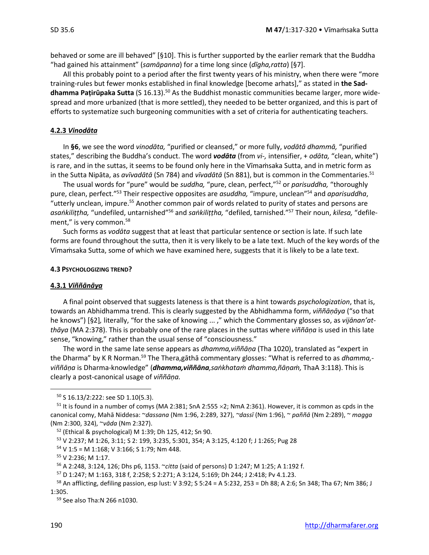behaved or some are ill behaved" [§10]. This is further supported by the earlier remark that the Buddha "had gained his attainment" (*samāpanna*) for a time long since (*dīgha,ratta*) [§7].

All this probably point to a period after the first twenty years of his ministry, when there were "more training-rules but fewer monks established in final knowledge [become arhats]," as stated in **the Saddhamma Paṭirūpaka Sutta** (S 16.13).<sup>50</sup> As the Buddhist monastic communities became larger, more widespread and more urbanized (that is more settled), they needed to be better organized, and this is part of efforts to systematize such burgeoning communities with a set of criteria for authenticating teachers.

#### **4.2.3** *Vinodāta*

In **§6**, we see the word *vinodāta,* "purified or cleansed," or more fully, *vodātā dhammā,* "purified states," describing the Buddha's conduct. The word *vodāta* (from *vi-,* intensifier, + *odāta,* "clean, white") is rare, and in the suttas, it seems to be found only here in the Vīmaṁsaka Sutta, and in metric form as in the Sutta Nipāta, as *avīvadātā* (Sn 784) and *vīvadātā* (Sn 881), but is common in the Commentaries. 51

The usual words for "pure" would be *suddha,* "pure, clean, perfect,"<sup>52</sup> or *parisuddha,* "thoroughly pure, clean, perfect."<sup>53</sup> Their respective opposites are *asuddha,* "impure, unclean"<sup>54</sup> and *aparisuddha*, "utterly unclean, impure.<sup>55</sup> Another common pair of words related to purity of states and persons are *asaṅkiliṭṭha,* "undefiled, untarnished"<sup>56</sup> and *saṅkiliṭṭha,* "defiled, tarnished."<sup>57</sup> Their noun, *kilesa,* "defilement," is very common.<sup>58</sup>

Such forms as *vodāta* suggest that at least that particular sentence or section is late. If such late forms are found throughout the sutta, then it is very likely to be a late text. Much of the key words of the Vīmaṁsaka Sutta, some of which we have examined here, suggests that it is likely to be a late text.

#### **4.3 PSYCHOLOGIZING TREND?**

#### **4.3.1** *Viññānāya*

A final point observed that suggests lateness is that there is a hint towards *psychologization*, that is, towards an Abhidhamma trend. This is clearly suggested by the Abhidhamma form, *viññāṇāya* ("so that he knows") [§2]*,* literally, "for the sake of knowing ... ," which the Commentary glosses so, as *vijānan'atthāya* (MA 2:378). This is probably one of the rare places in the suttas where *viññāṇa* is used in this late sense, "knowing," rather than the usual sense of "consciousness."

The word in the same late sense appears as *dhamma,viññāṇa* (Tha 1020), translated as "expert in the Dharma" by K R Norman.<sup>59</sup> The Thera,gāthā commentary glosses: "What is referred to as *dhamma, viññāṇa* is Dharma-knowledge" (*dhamma,viññāna,saṅkhataṁ dhamma,ñāṇaṁ,* ThaA 3:118). This is clearly a post-canonical usage of *viññāṇa.*

<sup>50</sup> S 16.13/2:222: see SD 1.10(5.3).

 $51$  It is found in a number of comys (MA 2:381; SnA 2:555  $\times$ 2; NmA 2:361). However, it is common as cpds in the canonical comy, Mahā Niddesa: ~*dassana* (Nm 1:96, 2:289, 327), *~dassī* (Nm 1:96), ~ *paññā* (Nm 2:289), ~ *magga*  (Nm 2:300, 324), ~*vāda* (Nm 2:327).

<sup>52</sup> (Ethical & psychological) M 1:39; Dh 125, 412; Sn 90.

<sup>53</sup> V 2:237; M 1:26, 3:11; S 2: 199, 3:235, 5:301, 354; A 3:125, 4:120 f; J 1:265; Pug 28

 $54$  V 1:5 = M 1:168; V 3:166; S 1:79; Nm 448.

<sup>55</sup> V 2:236; M 1:17.

<sup>56</sup> A 2:248, 3:124, 126; Dhs p6, 1153. ~*citta* (said of persons) D 1:247; M 1:25; A 1:192 f.

<sup>57</sup> D 1:247; M 1:163, 318 f, 2:258; S 2:271; A 3:124, 5:169; Dh 244; J 2:418; Pv 4.1.23.

<sup>58</sup> An afflicting, defiling passion, esp lust: V 3:92; S 5:24 = A 5:232, 253 = Dh 88; A 2:6; Sn 348; Tha 67; Nm 386; J 1:305.

<sup>59</sup> See also Tha:N 266 n1030.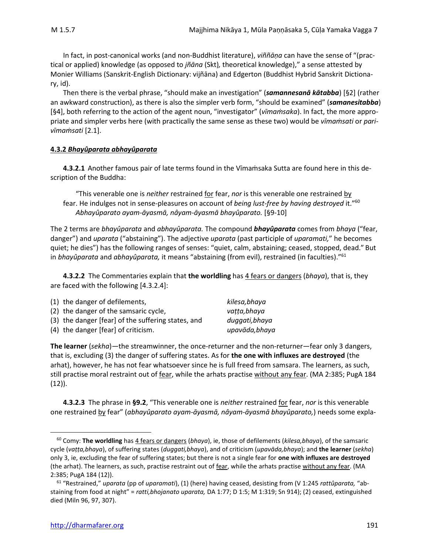In fact, in post-canonical works (and non-Buddhist literature), *viññāṇa* can have the sense of "(practical or applied) knowledge (as opposed to *jñāna* (Skt)*,* theoretical knowledge)," a sense attested by Monier Williams (Sanskrit-English Dictionary: vijñāna) and Edgerton (Buddhist Hybrid Sanskrit Dictionary, id).

Then there is the verbal phrase, "should make an investigation" (*samannesanā kātabba*) [§2] (rather an awkward construction), as there is also the simpler verb form, "should be examined" (*samanesitabba*) [§4], both referring to the action of the agent noun, "investigator" (*vīmaṁsaka*). In fact, the more appropriate and simpler verbs here (with practically the same sense as these two) would be *vīmaṁsati* or *parivīmaṁsati* [2.1].

#### **4.3.2** *Bhayûparata abhayûparata*

**4.3.2.1** Another famous pair of late terms found in the Vīmaṁsaka Sutta are found here in this description of the Buddha:

"This venerable one is *neither* restrained <u>for</u> fear, *nor* is this venerable one restrained by fear. He indulges not in sense-pleasures on account of *being lust-free by having destroyed* it."<sup>60</sup> *Abhayûparato ayam-āyasmā, nâyam-āyasmā bhayûparato.* [§9-10]

The 2 terms are *bhayûparata* and *abhayûparata.* The compound *bhayûparata* comes from *bhaya* ("fear, danger") and *uparata* ("abstaining"). The adjective *uparata* (past participle of *uparamati,*" he becomes quiet; he dies") has the following ranges of senses: "quiet, calm, abstaining; ceased, stopped, dead." But in *bhayûparata* and *abhayûparata,* it means "abstaining (from evil), restrained (in faculties)."<sup>61</sup>

**4.3.2.2** The Commentaries explain that **the worldling** has 4 fears or dangers (*bhaya*), that is, they are faced with the following [4.3.2.4]:

|          | (1) the danger of defilements,                     | kilesa, bhaya  |
|----------|----------------------------------------------------|----------------|
|          | (2) the danger of the samsaric cycle,              | vatta,bhaya    |
|          | (3) the danger [fear] of the suffering states, and | duggati, bhaya |
| $\cdots$ |                                                    |                |

(4) the danger [fear] of criticism. *upavāda,bhaya*

**The learner** (*sekha*)—the streamwinner, the once-returner and the non-returner—fear only 3 dangers, that is, excluding (3) the danger of suffering states. As for **the one with influxes are destroyed** (the arhat), however, he has not fear whatsoever since he is full freed from samsara. The learners, as such, still practise moral restraint out of fear, while the arhats practise without any fear. (MA 2:385; PugA 184  $(12)$ ).

**4.3.2.3** The phrase in **§9.2**, "This venerable one is *neither* restrained for fear, *nor* is this venerable one restrained by fear" (*abhayûparato ayam-āyasmā, nâyam-āyasmā bhayûparato,*) needs some expla-

<sup>60</sup> Comy: **The worldling** has 4 fears or dangers (*bhaya*), ie, those of defilements (*kilesa,bhaya*), of the samsaric cycle (*vaṭṭa,bhaya*), of suffering states (*duggati,bhaya*), and of criticism (*upavāda,bhaya*); and **the learner** (*sekha*) only 3, ie, excluding the fear of suffering states; but there is not a single fear for **one with influxes are destroyed** (the arhat). The learners, as such, practise restraint out of fear, while the arhats practise without any fear. (MA 2:385; PugA 184 (12)).

<sup>61</sup> "Restrained," *uparata* (pp of *uparamati*), (1) (here) having ceased, desisting from (V 1:245 *rattûparata,* "abstaining from food at night" = *ratti,bhojanato uparata,* DA 1:77; D 1:5; M 1:319; Sn 914); (2) ceased, extinguished died (Miln 96, 97, 307).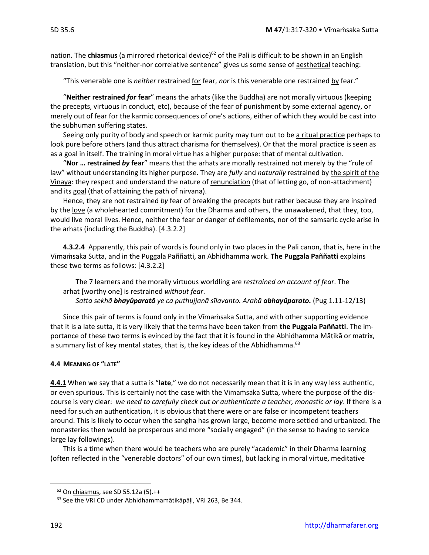nation. The **chiasmus** (a mirrored rhetorical device)<sup>62</sup> of the Pali is difficult to be shown in an English translation, but this "neither-nor correlative sentence" gives us some sense of aesthetical teaching:

"This venerable one is *neither* restrained for fear, *nor* is this venerable one restrained by fear."

"**Neither restrained** *for* **fear**" means the arhats (like the Buddha) are not morally virtuous (keeping the precepts, virtuous in conduct, etc), because of the fear of punishment by some external agency, or merely out of fear for the karmic consequences of one's actions, either of which they would be cast into the subhuman suffering states.

Seeing only purity of body and speech or karmic purity may turn out to be a ritual practice perhaps to look pure before others (and thus attract charisma for themselves). Or that the moral practice is seen as as a goal in itself. The training in moral virtue has a higher purpose: that of mental cultivation.

"**Nor … restrained** *by* **fear**" means that the arhats are morally restrained not merely by the "rule of law" without understanding its higher purpose. They are *fully* and *naturally* restrained by the spirit of the Vinaya: they respect and understand the nature of renunciation (that of letting go, of non-attachment) and its goal (that of attaining the path of nirvana).

Hence, they are not restrained *by* fear of breaking the precepts but rather because they are inspired by the love (a wholehearted commitment) for the Dharma and others, the unawakened, that they, too, would live moral lives. Hence, neither the fear or danger of defilements, nor of the samsaric cycle arise in the arhats (including the Buddha). [4.3.2.2]

**4.3.2.4** Apparently, this pair of words is found only in two places in the Pali canon, that is, here in the Vīmaṁsaka Sutta, and in the Puggala Paññatti, an Abhidhamma work. **The Puggala Paññatti** explains these two terms as follows: [4.3.2.2]

The 7 learners and the morally virtuous worldling are *restrained on account of fear*. The arhat [worthy one] is restrained *without fear*.

*Satta sekhā bhayûparatā ye ca puthujjanā sīlavanto. Arahā abhayûparato.* (Pug 1.11-12/13)

Since this pair of terms is found only in the Vīmaṁsaka Sutta, and with other supporting evidence that it is a late sutta, it is very likely that the terms have been taken from **the Puggala Paññatti**. The importance of these two terms is evinced by the fact that it is found in the Abhidhamma Māṭikā or matrix, a summary list of key mental states, that is, the key ideas of the Abhidhamma.<sup>63</sup>

#### **4.4 MEANING OF "LATE"**

**4.4.1** When we say that a sutta is "**late**," we do not necessarily mean that it is in any way less authentic, or even spurious. This is certainly not the case with the Vīmaṁsaka Sutta, where the purpose of the discourse is very clear: *we need to carefully check out or authenticate a teacher, monastic or lay*. If there is a need for such an authentication, it is obvious that there were or are false or incompetent teachers around. This is likely to occur when the sangha has grown large, become more settled and urbanized. The monasteries then would be prosperous and more "socially engaged" (in the sense to having to service large lay followings).

This is a time when there would be teachers who are purely "academic" in their Dharma learning (often reflected in the "venerable doctors" of our own times), but lacking in moral virtue, meditative

 $62$  On chiasmus, see SD 55.12a (5). $++$ 

<sup>&</sup>lt;sup>63</sup> See the VRI CD under Abhidhammamātikāpāļi, VRI 263, Be 344.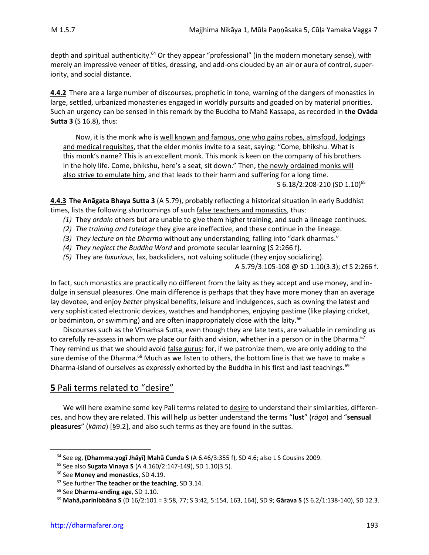depth and spiritual authenticity.<sup>64</sup> Or they appear "professional" (in the modern monetary sense), with merely an impressive veneer of titles, dressing, and add-ons clouded by an air or aura of control, superiority, and social distance.

**4.4.2** There are a large number of discourses, prophetic in tone, warning of the dangers of monastics in large, settled, urbanized monasteries engaged in worldly pursuits and goaded on by material priorities. Such an urgency can be sensed in this remark by the Buddha to Mahā Kassapa, as recorded in **the Ovāda Sutta 3** (S 16.8), thus:

Now, it is the monk who is well known and famous, one who gains robes, almsfood, lodgings and medical requisites, that the elder monks invite to a seat, saying: "Come, bhikshu. What is this monk's name? This is an excellent monk. This monk is keen on the company of his brothers in the holy life. Come, bhikshu, here's a seat, sit down." Then, the newly ordained monks will also strive to emulate him, and that leads to their harm and suffering for a long time.

S 6.18/2:208-210 (SD 1.10) 65

**4.4.3 The Anāgata Bhaya Sutta 3** (A 5.79), probably reflecting a historical situation in early Buddhist times, lists the following shortcomings of such false teachers and monastics, thus:

- *(1)* They *ordain* others but are unable to give them higher training, and such a lineage continues.
- *(2) The training and tutelage* they give are ineffective, and these continue in the lineage.
- *(3) They lecture on the Dharma* without any understanding, falling into "dark dharmas."
- *(4) They neglect the Buddha Word* and promote secular learning [S 2:266 f].
- *(5)* They are *luxurious*, lax, backsliders, not valuing solitude (they enjoy socializing).

A 5.79/3:105-108 @ SD 1.10(3.3); cf S 2:266 f.

In fact, such monastics are practically no different from the laity as they accept and use money, and indulge in sensual pleasures. One main difference is perhaps that they have more money than an average lay devotee, and enjoy *better* physical benefits, leisure and indulgences, such as owning the latest and very sophisticated electronic devices, watches and handphones, enjoying pastime (like playing cricket, or badminton, or swimming) and are often inappropriately close with the laity.<sup>66</sup>

Discourses such as the Vīmaṁsa Sutta, even though they are late texts, are valuable in reminding us to carefully re-assess in whom we place our faith and vision, whether in a person or in the Dharma.<sup>67</sup> They remind us that we should avoid false gurus: for, if we patronize them, we are only adding to the sure demise of the Dharma.<sup>68</sup> Much as we listen to others, the bottom line is that we have to make a Dharma-island of ourselves as expressly exhorted by the Buddha in his first and last teachings.<sup>69</sup>

# **5** Pali terms related to "desire"

We will here examine some key Pali terms related to desire to understand their similarities, differences, and how they are related. This will help us better understand the terms "**lust**" (*rāga*) and "**sensual pleasures**" (*kāma*) [§9.2], and also such terms as they are found in the suttas.

<sup>64</sup> See eg, **(Dhamma.yogī Jhāyī) Mahā Cunda S** (A 6.46/3:355 f), SD 4.6; also L S Cousins 2009.

<sup>65</sup> See also **Sugata Vinaya S** (A 4.160/2:147-149), SD 1.10(3.5).

<sup>66</sup> See **Money and monastics**, SD 4.19.

<sup>67</sup> See further **The teacher or the teaching**, SD 3.14.

<sup>68</sup> See **Dharma-ending age**, SD 1.10.

<sup>69</sup> **Mahā,parinibbāna S** (D 16/2:101 = 3:58, 77; S 3:42, 5:154, 163, 164), SD 9; **Gārava S** (S 6.2/1:138-140), SD 12.3.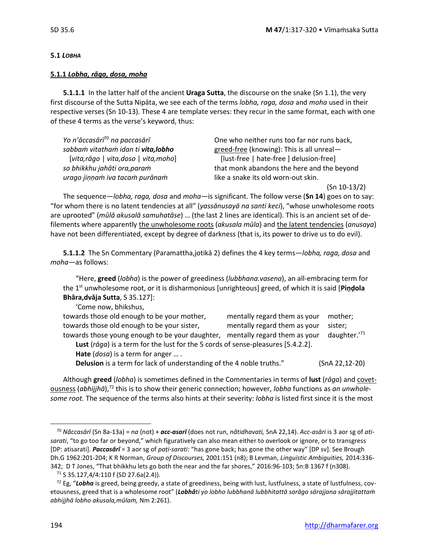#### **5.1** *LOBHA*

#### **5.1.1** *Lobha, rāga, dosa, moha*

**5.1.1.1** In the latter half of the ancient **Uraga Sutta**, the discourse on the snake (Sn 1.1), the very first discourse of the Sutta Nipāta, we see each of the terms *lobha, raga, dosa* and *moha* used in their respective verses (Sn 10-13). These 4 are template verses: they recur in the same format, each with one of these 4 terms as the verse's keyword, thus:

*urago jiṇṇaṁ iva tacaṁ purānaṁ* like a snake its old worn-out skin.

*Yo n'āccasārī*<sup>70</sup> *na paccasārī* One who neither runs too far nor runs back, *sabbaṁ vitathaṁ idan ti vita,lobho* greed-free (knowing): This is all unreal— [*vita,rāgo* | *vita,doso* | *vita,moho*] [lust-free | hate-free ] delusion-free] *so bhikkhu jahāti ora,paraṁ* that monk abandons the here and the beyond

(Sn 10-13/2)

The sequence—*lobha, raga, dosa* and *moha*—is significant. The follow verse (**Sn 14**) goes on to say: "for whom there is no latent tendencies at all" (*yassānusayā na santi keci*), "whose unwholesome roots are uprooted" (*mūlā akusalā samuhatāse*) … (the last 2 lines are identical). This is an ancient set of defilements where apparently the unwholesome roots (*akusala mūla*) and the latent tendencies (*anusaya*) have not been differentiated, except by degree of darkness (that is, its power to drive us to do evil).

**5.1.1.2** The Sn Commentary (Paramattha,jotikā 2) defines the 4 key terms—*lobha, raga, dosa* and *moha—*as follows:

"Here, **greed** (*lobha*) is the power of greediness (*lubbhana.vasena*), an all-embracing term for the 1st unwholesome root, or it is disharmonious [unrighteous] greed, of which it is said [**Piṇḍola Bhāra,dvāja Sutta**, S 35.127]:

'Come now, bhikshus,

| towards those old enough to be your mother,                                      | mentally regard them as your | mother;        |  |  |
|----------------------------------------------------------------------------------|------------------------------|----------------|--|--|
| towards those old enough to be your sister,                                      | mentally regard them as your | sister;        |  |  |
| towards those young enough to be your daughter, mentally regard them as your     |                              | daughter.'71   |  |  |
| Lust (rāga) is a term for the lust for the 5 cords of sense-pleasures [5.4.2.2]. |                              |                |  |  |
| <b>Hate</b> $(dosa)$ is a term for anger                                         |                              |                |  |  |
| Delusion is a term for lack of understanding of the 4 noble truths."             |                              | (SnA 22,12-20) |  |  |

Although **greed** (*lobha*) is sometimes defined in the Commentaries in terms of **lust** (*rāga*) and covetousness (*abhijjhā*),<sup>72</sup> this is to show their generic connection; however, *lobha* functions as *an unwholesome root.* The sequence of the terms also hints at their severity: *lobha* is listed first since it is the most

<sup>70</sup> *Nâccasārī* (Sn 8a-13a) = *na* (not) + *acc-asarī* (does not run, *nâtidhavati,* SnA 22,14). *Acc-asāri* is 3 aor sg of *atisarati*, "to go too far or beyond," which figuratively can also mean either to overlook or ignore, or to transgress [DP: atisarati]. *Paccasārī* = 3 aor sg of *paṭi-sarati:* "has gone back; has gone the other way" [DP sv]. See Brough Dh.G 1962:201-204; K R Norman, *Group of Discourses,* 2001:151 (n8); B Levman, *Linguistic Ambiguities,* 2014:336- 342; D T Jones, "That bhikkhu lets go both the near and the far shores," 2016:96-103; Sn:B 1367 f (n308).

 $71$  S 35.127,4/4:110 f (SD 27.6a(2.4)).

<sup>72</sup> Eg, "*Lobha* is greed, being greedy, a state of greediness, being with lust, lustfulness, a state of lustfulness, covetousness, greed that is a wholesome root" (*Lobhâti yo lobho lubbhanā lubbhitattā sarāgo sārajjana sārajjitattaṁ abhijjhā lobho akusala,mūlaṁ,* Nm 2:261).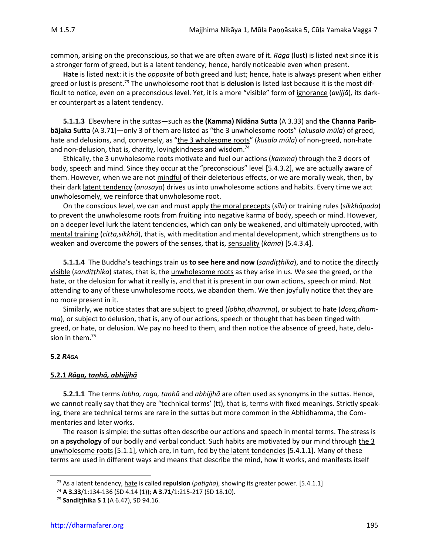common, arising on the preconscious, so that we are often aware of it. *Rāga* (lust) is listed next since it is a stronger form of greed, but is a latent tendency; hence, hardly noticeable even when present.

**Hate** is listed next: it is the *opposite* of both greed and lust; hence, hate is always present when either greed or lust is present.<sup>73</sup> The unwholesome root that is **delusion** is listed last because it is the most difficult to notice, even on a preconscious level. Yet, it is a more "visible" form of ignorance (*avijjā*)*,* its darker counterpart as a latent tendency.

**5.1.1.3** Elsewhere in the suttas—such as **the (Kamma) Nidāna Sutta** (A 3.33) and **the Channa Paribbājaka Sutta** (A 3.71)—only 3 of them are listed as "the 3 unwholesome roots" (*akusala mūla*) of greed, hate and delusions, and, conversely, as "the 3 wholesome roots" (kusala mūla) of non-greed, non-hate and non-delusion, that is, charity, loving kindness and wisdom. $74$ 

Ethically, the 3 unwholesome roots motivate and fuel our actions (*kamma*) through the 3 doors of body, speech and mind. Since they occur at the "preconscious" level [5.4.3.2], we are actually aware of them. However, when we are not mindful of their deleterious effects, or we are morally weak, then, by their dark latent tendency (*anusaya*) drives us into unwholesome actions and habits. Every time we act unwholesomely, we reinforce that unwholesome root.

On the conscious level, we can and must apply the moral precepts (*sīla*) or training rules (*sikkhāpada*) to prevent the unwholesome roots from fruiting into negative karma of body, speech or mind. However, on a deeper level lurk the latent tendencies, which can only be weakened, and ultimately uprooted, with mental training (*citta,sikkhā*), that is, with meditation and mental development, which strengthens us to weaken and overcome the powers of the senses, that is, sensuality (*kāma*) [5.4.3.4].

**5.1.1.4** The Buddha's teachings train us **to see here and now** (*sandiṭṭhika*), and to notice the directly visible (*sandiṭṭhika*) states, that is, the unwholesome roots as they arise in us. We see the greed, or the hate, or the delusion for what it really is, and that it is present in our own actions, speech or mind. Not attending to any of these unwholesome roots, we abandon them. We then joyfully notice that they are no more present in it.

Similarly, we notice states that are subject to greed (*lobha,dhamma*), or subject to hate (*dosa,dhamma*), or subject to delusion, that is, any of our actions, speech or thought that has been tinged with greed, or hate, or delusion. We pay no heed to them, and then notice the absence of greed, hate, delusion in them.<sup>75</sup>

#### **5.2** *RĀGA*

#### **5.2.1** *Rāga, taṇhā, abhijjhā*

**5.2.1.1** The terms *lobha, raga, taṇhā* and *abhijjhā* are often used as synonyms in the suttas. Hence, we cannot really say that they are "technical terms' (tt), that is, terms with fixed meanings. Strictly speaking, there are technical terms are rare in the suttas but more common in the Abhidhamma, the Commentaries and later works.

The reason is simple: the suttas often describe our actions and speech in mental terms. The stress is on **a psychology** of our bodily and verbal conduct. Such habits are motivated by our mind through the 3 unwholesome roots [5.1.1], which are, in turn, fed by the latent tendencies [5.4.1.1]. Many of these terms are used in different ways and means that describe the mind, how it works, and manifests itself

<sup>73</sup> As a latent tendency, hate is called **repulsion** (*paṭigha*), showing its greater power. [5.4.1.1]

<sup>74</sup> **A 3.33**/1:134-136 (SD 4.14 (1)); **A 3.71**/1:215-217 (SD 18.10).

<sup>75</sup> **Sandiṭṭhika S 1** (A 6.47), SD 94.16.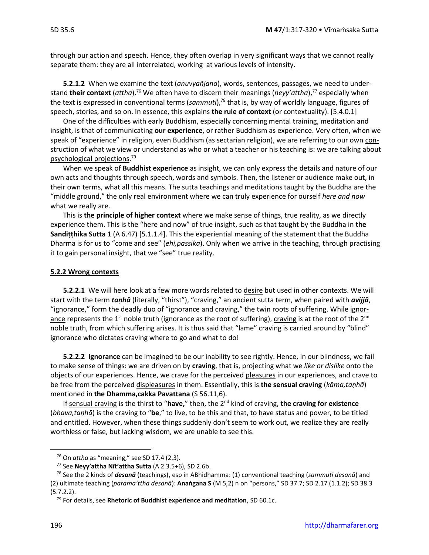through our action and speech. Hence, they often overlap in very significant ways that we cannot really separate them: they are all interrelated, working at various levels of intensity.

**5.2.1.2** When we examine the text (*anuvyañjana*), words, sentences, passages, we need to understand **their context** (*attha*).<sup>76</sup> We often have to discern their meanings (*neyy'attha*), <sup>77</sup> especially when the text is expressed in conventional terms (*sammuti*),<sup>78</sup> that is, by way of worldly language, figures of speech, stories, and so on. In essence, this explains **the rule of context** (or contextuality). [5.4.0.1]

One of the difficulties with early Buddhism, especially concerning mental training, meditation and insight, is that of communicating **our experience**, or rather Buddhism as experience. Very often, when we speak of "experience" in religion, even Buddhism (as sectarian religion), we are referring to our own construction of what we view or understand as who or what a teacher or his teaching is: we are talking about psychological projections. 79

When we speak of **Buddhist experience** as insight, we can only express the details and nature of our own acts and thoughts through speech, words and symbols. Then, the listener or audience make out, in their own terms, what all this means. The sutta teachings and meditations taught by the Buddha are the "middle ground," the only real environment where we can truly experience for ourself *here and now* what we really are.

This is **the principle of higher context** where we make sense of things, true reality, as we directly experience them. This is the "here and now" of true insight, such as that taught by the Buddha in **the Sandiṭṭhika Sutta** 1 (A 6.47) [5.1.1.4]. This the experiential meaning of the statement that the Buddha Dharma is for us to "come and see" (*ehi,passika*). Only when we arrive in the teaching, through practising it to gain personal insight, that we "see" true reality.

#### **5.2.2 Wrong contexts**

**5.2.2.1** We will here look at a few more words related to desire but used in other contexts. We will start with the term *taṇhā* (literally, "thirst"), "craving," an ancient sutta term, when paired with *avijjā*, "ignorance," form the deadly duo of "ignorance and craving," the twin roots of suffering. While ignorance represents the 1<sup>st</sup> noble truth (ignorance as the root of suffering), craving is at the root of the 2<sup>nd</sup> noble truth, from which suffering arises. It is thus said that "lame" craving is carried around by "blind" ignorance who dictates craving where to go and what to do!

**5.2.2.2 Ignorance** can be imagined to be our inability to see rightly. Hence, in our blindness, we fail to make sense of things: we are driven on by **craving**, that is, projecting what we *like or dislike* onto the objects of our experiences. Hence, we crave for the perceived pleasures in our experiences, and crave to be free from the perceived displeasures in them. Essentially, this is **the sensual craving** (*kāma,taṇhā*) mentioned in **the Dhamma,cakka Pavattana** (S 56.11,6).

If sensual craving is the thirst to "**have,**" then, the 2nd kind of craving, **the craving for existence** (*bhava,taṇhā*) is the craving to "**be**," to live, to be this and that, to have status and power, to be titled and entitled. However, when these things suddenly don't seem to work out, we realize they are really worthless or false, but lacking wisdom, we are unable to see this.

<sup>76</sup> On *attha* as "meaning," see SD 17.4 (2.3).

<sup>77</sup> See **Neyy'attha Nīt'attha Sutta** (A 2.3.5+6), SD 2.6b.

<sup>78</sup> See the 2 kinds of *desanā* (teachings(, esp in ABhidhamma: (1) conventional teaching (*sammuti desanā*) and (2) ultimate teaching (*parama'ttha desanā*): **Anaṅgana S** (M 5,2) n on "persons," SD 37.7; SD 2.17 (1.1.2); SD 38.3 (5.7.2.2).

<sup>79</sup> For details, see **Rhetoric of Buddhist experience and meditation**, SD 60.1c.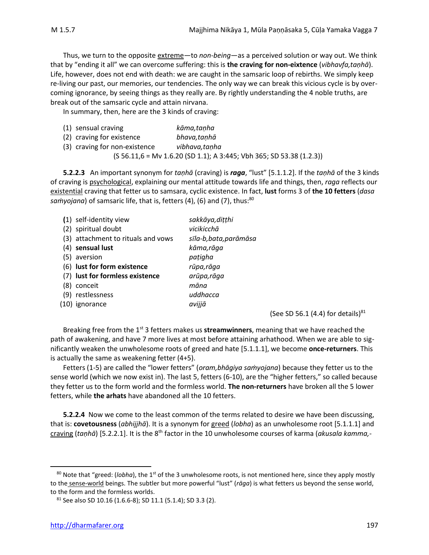Thus, we turn to the opposite extreme—to *non-being*—as a perceived solution or way out. We think that by "ending it all" we can overcome suffering: this is **the craving for non-eixtence** (*vibhavfa,taṇhā*). Life, however, does not end with death: we are caught in the samsaric loop of rebirths. We simply keep re-living our past, our memories, our tendencies. The only way we can break this vicious cycle is by overcoming ignorance, by seeing things as they really are. By rightly understanding the 4 noble truths, are break out of the samsaric cycle and attain nirvana.

In summary, then, here are the 3 kinds of craving:

| (1) sensual craving           | kāma,tanha                                                              |
|-------------------------------|-------------------------------------------------------------------------|
| (2) craving for existence     | bhava,tanhā                                                             |
| (3) craving for non-existence | vibhava.tanha                                                           |
|                               | $(S 56.11, 6 = Mv 1.6.20 (SD 1.1); A 3:445; Vbh 365; SD 53.38 (1.2.3))$ |

**5.2.2.3** An important synonym for *taṇhā* (craving) is *raga*, "lust" [5.1.1.2]. If the *taṇhā* of the 3 kinds of craving is psychological, explaining our mental attitude towards life and things, then, *raga* reflects our existential craving that fetter us to samsara, cyclic existence. In fact, **lust** forms 3 of **the 10 fetters** (*dasa*  samyojana) of samsaric life, that is, fetters (4), (6) and (7), thus:<sup>80</sup>

|     | (1) self-identity view             | sakkāya, dițțhi        |
|-----|------------------------------------|------------------------|
|     | (2) spiritual doubt                | vicikicchā             |
|     | (3) attachment to rituals and vows | sīla-b, bata, parāmāsa |
|     | (4) sensual lust                   | kāma,rāga              |
|     | (5) aversion                       | paṭigha                |
|     | (6) lust for form existence        | rūpa, rāga             |
|     | (7) lust for formless existence    | arūpa, rāga            |
| (8) | conceit                            | māna                   |
|     | (9) restlessness                   | uddhacca               |
|     | (10) ignorance                     | avijjā                 |
|     |                                    |                        |

(See SD 56.1 (4.4) for details) $81$ 

Breaking free from the 1<sup>st</sup> 3 fetters makes us **streamwinners**, meaning that we have reached the path of awakening, and have 7 more lives at most before attaining arhathood. When we are able to significantly weaken the unwholesome roots of greed and hate [5.1.1.1], we become **once-returners**. This is actually the same as weakening fetter (4+5).

Fetters (1-5) are called the "lower fetters" (*oram,bhāgiya saṁyojana*) because they fetter us to the sense world (which we now exist in). The last 5, fetters (6-10), are the "higher fetters," so called because they fetter us to the form world and the formless world. **The non-returners** have broken all the 5 lower fetters, while **the arhats** have abandoned all the 10 fetters.

**5.2.2.4** Now we come to the least common of the terms related to desire we have been discussing, that is: **covetousness** (*abhijjhā*). It is a synonym for greed (*lobha*) as an unwholesome root [5.1.1.1] and craving (*taṇhā*) [5.2.2.1]. It is the 8th factor in the 10 unwholesome courses of karma (*akusala kamma,-*

<sup>&</sup>lt;sup>80</sup> Note that "greed: (*lobha*), the 1<sup>st</sup> of the 3 unwholesome roots, is not mentioned here, since they apply mostly to the sense-world beings. The subtler but more powerful "lust" (*rāga*) is what fetters us beyond the sense world, to the form and the formless worlds.

 $81$  See also SD 10.16 (1.6.6-8); SD 11.1 (5.1.4); SD 3.3 (2).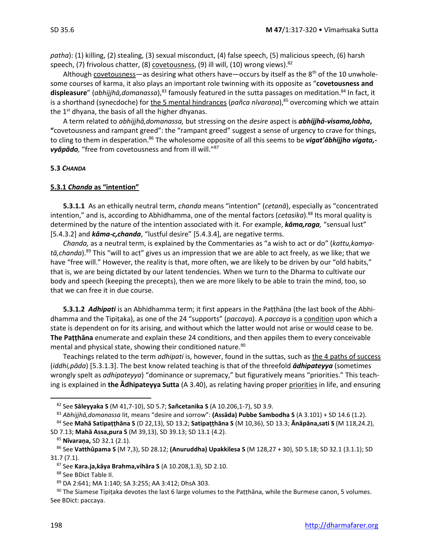*patha*): (1) killing, (2) stealing, (3) sexual misconduct, (4) false speech, (5) malicious speech, (6) harsh speech, (7) frivolous chatter, (8) <u>covetousness</u>, (9) ill will, (10) wrong views).<sup>82</sup>

Although covetousness—as desiring what others have—occurs by itself as the  $8<sup>th</sup>$  of the 10 unwholesome courses of karma, it also plays an important role twinning with its opposite as "**covetousness and displeasure**" (*abhijjhā,domanassa*), <sup>83</sup> famously featured in the sutta passages on meditation.<sup>84</sup> In fact, it is a shorthand (synecdoche) for the 5 mental hindrances (pañca nīvaraṇa),<sup>85</sup> overcoming which we attain the  $1<sup>st</sup>$  dhyana, the basis of all the higher dhyanas.

A term related to *abhijjhā,domanassa,* but stressing on the *desire* aspect is *abhijjhā-visama,lobha***, "**covetousness and rampant greed": the "rampant greed" suggest a sense of urgency to crave for things, to cling to them in desperation.<sup>86</sup> The wholesome opposite of all this seems to be *vigat'ābhijjho vigata, vyāpādo,* "free from covetousness and from ill will."<sup>87</sup>

#### **5.3** *CHANDA*

#### **5.3.1** *Chanda* **as "intention"**

**5.3.1.1** As an ethically neutral term, *chanda* means "intention" (*cetanā*), especially as "concentrated intention," and is, according to Abhidhamma, one of the mental factors (*cetasika*).<sup>88</sup> Its moral quality is determined by the nature of the intention associated with it. For example, *kāma,raga,* "sensual lust" [5.4.3.2] and *kāma-c,chanda*, "lustful desire" [5.4.3.4], are negative terms.

*Chanda,* as a neutral term, is explained by the Commentaries as "a wish to act or do" (*kattu,kamyatā,chanda*).<sup>89</sup> This "will to act" gives us an impression that we are able to act freely, as we like; that we have "free will." However, the reality is that, more often, we are likely to be driven by our "old habits," that is, we are being dictated by our latent tendencies. When we turn to the Dharma to cultivate our body and speech (keeping the precepts), then we are more likely to be able to train the mind, too, so that we can free it in due course.

**5.3.1.2** *Adhipati* is an Abhidhamma term; it first appears in the Paṭṭhāna (the last book of the Abhidhamma and the Tipiṭaka), as one of the 24 "supports" (*paccaya*). A *paccaya* is a condition upon which a state is dependent on for its arising, and without which the latter would not arise or would cease to be. **The Paṭṭhāna** enumerate and explain these 24 conditions, and then appiles them to every conceivable mental and physical state, showing their conditioned nature. 90

Teachings related to the term *adhipati* is, however, found in the suttas, such as the 4 paths of success (*iddhi,pāda*) [5.3.1.3]. The best know related teaching is that of the threefold *ādhipateyya* (sometimes wrongly spelt as *adhipateyya*) "dominance or supremacy," but figuratively means "priorities." This teaching is explained in **the Ādhipateyya Sutta** (A 3.40), as relating having proper priorities in life, and ensuring

<sup>82</sup> See **Sāleyyaka S** (M 41,7-10), SD 5.7; **Sañcetanika S** (A 10.206,1-7), SD 3.9.

<sup>83</sup> *Abhijjhā,domanassa* lit, means "desire and sorrow": **(Assāda) Pubbe Sambodha S** (A 3.101) + SD 14.6 (1.2).

<sup>84</sup> See **Mahā Satipaṭṭhāna S** (D 22,13), SD 13.2; **Satipaṭṭhāna S** (M 10,36), SD 13.3; **Ānāpāna,sati S** (M 118,24.2), SD 7.13; **Mahā Assa,pura S** (M 39,13), SD 39.13; SD 13.1 (4.2).

<sup>85</sup> **Nīvaraṇa,** SD 32.1 (2.1).

<sup>86</sup> See **Vatthûpama S** (M 7,3), SD 28.12; **(Anuruddha) Upakkilesa S** (M 128,27 + 30), SD 5.18; SD 32.1 (3.1.1); SD 31.7 (7.1).

<sup>87</sup> See **Kara.ja,kāya Brahma,vihāra S** (A 10.208,1.3), SD 2.10.

<sup>88</sup> See BDict Table II.

<sup>89</sup> DA 2:641; MA 1:140; SA 3:255; AA 3:412; DhsA 303.

 $90$  The Siamese Tipiṭaka devotes the last 6 large volumes to the Paṭṭhāna, while the Burmese canon, 5 volumes. See BDict: paccaya.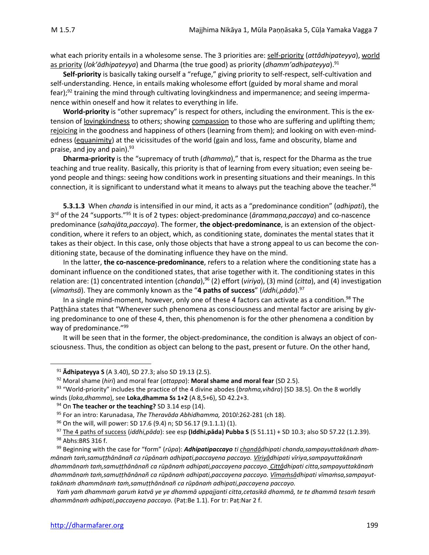what each priority entails in a wholesome sense. The 3 priorities are: self-priority (*attâdhipateyya*), world as priority (*lok'ādhipateyya*) and Dharma (the true good) as priority (*dhamm'adhipateyya*).<sup>91</sup>

**Self-priority** is basically taking ourself a "refuge," giving priority to self-respect, self-cultivation and self-understanding. Hence, in entails making wholesome effort (guided by moral shame and moral fear); $92$  training the mind through cultivating lovingkindness and impermanence; and seeing impermanence within oneself and how it relates to everything in life.

**World-priority** is "other supremacy" is respect for others, including the environment. This is the extension of lovingkindness to others; showing compassion to those who are suffering and uplifting them; rejoicing in the goodness and happiness of others (learning from them); and looking on with even-mindedness (equanimity) at the vicissitudes of the world (gain and loss, fame and obscurity, blame and praise, and joy and pain). $93$ 

**Dharma-priority** is the "supremacy of truth (*dhamma*)," that is, respect for the Dharma as the true teaching and true reality. Basically, this priority is that of learning from every situation; even seeing beyond people and things: seeing how conditions work in presenting situations and their meanings. In this connection, it is significant to understand what it means to always put the teaching above the teacher.<sup>94</sup>

**5.3.1.3** When *chanda* is intensified in our mind, it acts as a "predominance condition" (*adhipati*), the 3 rd of the 24 "supports."<sup>95</sup> It is of 2 types: object-predominance (*ārammaṇa,paccaya*) and co-nascence predominance (*sahajāta,paccaya*). The former, **the object-predominance**, is an extension of the objectcondition, where it refers to an object, which, as conditioning state, dominates the mental states that it takes as their object. In this case, only those objects that have a strong appeal to us can become the conditioning state, because of the dominating influence they have on the mind.

In the latter, **the co-nascence-predominance**, refers to a relation where the conditioning state has a dominant influence on the conditioned states, that arise together with it. The conditioning states in this relation are: (1) concentrated intention (*chanda*), <sup>96</sup> (2) effort (*viriya*), (3) mind (*citta*), and (4) investigation (*vīmaṁsā*). They are commonly known as the "**4 paths of success**" (*iddhi,pāda*).<sup>97</sup>

In a single mind-moment, however, only one of these 4 factors can activate as a condition.<sup>98</sup> The Paṭṭhāna states that "Whenever such phenomena as consciousness and mental factor are arising by giving predominance to one of these 4, then, this phenomenon is for the other phenomena a condition by way of predominance."<sup>99</sup>

It will be seen that in the former, the object-predominance, the condition is always an object of consciousness. Thus, the condition as object can belong to the past, present or future. On the other hand,

<sup>91</sup> **Ādhipateyya S** (A 3.40), SD 27.3; also SD 19.13 (2.5).

<sup>92</sup> Moral shame (*hiri*) and moral fear (*ottappa*): **Moral shame and moral fear** (SD 2.5).

<sup>93</sup> "World-priority" includes the practice of the 4 divine abodes (*brahma,vihāra*) [SD 38.5]. On the 8 worldly winds (*loka,dhamma*), see **Loka,dhamma Ss 1+2** (A 8,5+6), SD 42.2+3.

<sup>94</sup> On **The teacher or the teaching?** SD 3.14 esp (14).

<sup>95</sup> For an intro: Karunadasa, *The Theravāda Abhidhamma,* 2010*l*:262-281 (ch 18).

<sup>96</sup> On the will, will power: SD 17.6 (9.4) n; SD 56.17 (9.1.1.1) (1).

<sup>97</sup> The 4 paths of success (*iddhi,pāda*): see esp **(Iddhi,pāda) Pubba S** (S 51.11) + SD 10.3; also SD 57.22 (1.2.39).

<sup>98</sup> Abhs:BRS 316 f.

<sup>99</sup> Beginning with the case for "form" (*rūpa*): *Adhipatipaccayo ti chandâdhipati chanda,sampayuttakānaṁ dhammānaṁ taṁ,samuṭṭhānānañ ca rūpānaṁ adhipati,paccayena paccayo. Vīriyâdhipati vīriya,sampayuttakānaṁ dhammānaṁ taṁ,samuṭṭhānānañ ca rūpānaṁ adhipati,paccayena paccayo. Cittâdhipati citta,sampayuttakānaṁ dhammānaṁ taṁ,samuṭṭhānānañ ca rūpānaṁ adhipati,paccayena paccayo. Vīmaṁsâdhipati vīmaṁsa,sampayuttakānaṁ dhammānaṁ taṁ,samuṭṭhānānañ ca rūpānaṁ adhipati,paccayena paccayo.*

*Yaṁ yaṁ dhammaṁ garuṁ katvā ye ye dhammā uppajjanti citta,cetasikā dhammā, te te dhammā tesaṁ tesaṁ dhammānaṁ adhipati,paccayena paccayo.* (Paṭ:Be 1.1). For tr: Paṭ:Nar 2 f.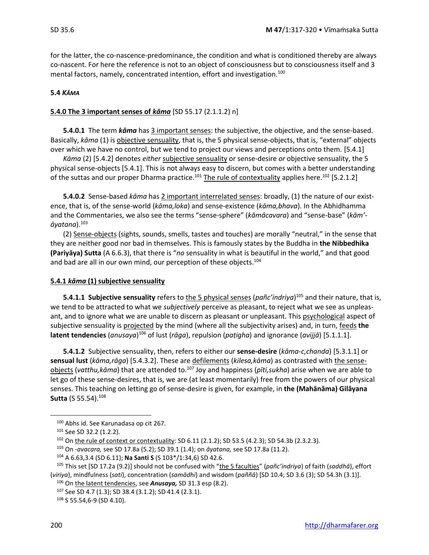for the latter, the co-nascence-predominance, the condition and what is conditioned thereby are always co-nascent. For here the reference is not to an object of consciousness but to consciousness itself and 3 mental factors, namely, concentrated intention, effort and investigation.<sup>100</sup>

#### **5.4** *KĀMA*

#### **5.4.0 The 3 important senses of** *kāma* [SD 55.17 (2.1.1.2) n]

**5.4.0.1** The term *kāma* has 3 important senses: the subjective, the objective, and the sense-based. Basically, *kāma* (1) is objective sensuality, that is, the 5 physical sense-objects, that is, "external" objects over which we have no control, but we tend to project our views and perceptions onto them. [5.4.1]

*Kāma* (2) [5.4.2] denotes *either* subjective sensuality or sense-desire *or* objective sensuality, the 5 physical sense-objects [5.4.1]. This is not always easy to discern, but comes with a better understanding of the suttas and our proper Dharma practice.<sup>101</sup> The rule of contextuality applies here.<sup>102</sup> [5.2.1.2]

**5.4.0.2** Sense-based *kāma* has 2 important interrelated senses: broadly, (1) the nature of our existence, that is, of the sense-world (*kāma,loka*) and sense-existence (*kāma,bhava*). In the Abhidhamma and the Commentaries, we also see the terms "sense-sphere" (*kāmâcavara*) and "sense-base" (*kām' āyatana*).<sup>103</sup>

(2) Sense-objects (sights, sounds, smells, tastes and touches) are morally "neutral," in the sense that they are neither good nor bad in themselves. This is famously states by the Buddha in **the Nibbedhika (Pariyāya) Sutta** (A 6.6.3), that there is "*no* sensuality in what is beautiful in the world," and that good and bad are all in our own mind, our perception of these objects.<sup>104</sup>

#### **5.4.1** *kāma* **(1) subjective sensuality**

**5.4.1.1 Subjective sensuality** refers to the 5 physical senses (pañc'indriya)<sup>105</sup> and their nature, that is, we tend to be attracted to what we *subjectively* perceive as pleasant, to reject what we see as unpleasant, and to ignore what we are unable to discern as pleasant or unpleasant. This psychological aspect of subjective sensuality is projected by the mind (where all the subjectivity arises) and, in turn, feeds **the latent tendencies** (*anusaya*) <sup>106</sup> of lust (*rāga*), repulsion (*paṭigha*) and ignorance (*avijjā*) [5.1.1.1].

**5.4.1.2** Subjective sensuality, then, refers to either our **sense-desire** (*kāma-c,chanda*) [5.3.1.1] or **sensual lust** (*kāma,rāga*) [5.4.3.2]. These are defilements (*kilesa,kāma*) as contrasted with the senseobjects (*vatthu,kāma*) that are attended to.<sup>107</sup> Joy and happiness (*pīti,sukha*) arise when we are able to let go of these sense-desires, that is, we are (at least momentarily) free from the powers of our physical senses. This teaching on letting go of sense-desire is given, for example, in **the (Mahānāma) Gilāyana Sutta** (S 55.54).<sup>108</sup>

<sup>100</sup> Abhs id. See Karunadasa op cit 267.

<sup>101</sup> See SD 32.2 (1.2.2).

<sup>102</sup> On the rule of context or contextuality: SD 6.11 (2.1.2); SD 53.5 (4.2.3); SD 54.3b (2.3.2.3).

<sup>103</sup> On -*avacara,* see SD 17.8a (5.2); SD 39.1 (1.4); on *āyatana,* see SD 17.8a (11.2).

<sup>104</sup> A 6.63,3.4 (SD 6.11); **Na Santi S** (S 103\*/1:34,6) SD 42.6.

<sup>105</sup> This set [SD 17.2a (9.2)] should not be confused with "the 5 faculties" (*pañc'indriya*) of faith (*saddhā*), effort (*viriya*), mindfulness (*sati*), concentration (*samādhi*) and wisdom (*paññā*) [SD 10.4; SD 3.6 (3); SD 54.3h (3.1)].

<sup>106</sup> On the latent tendencies, see *Anusaya,* SD 31.3 esp (8.2).

<sup>107</sup> See SD 4.7 (1.3); SD 38.4 (3.1.2); SD 41.4 (2.3.1).

<sup>108</sup> S 55.54,6-9 (SD 4.10).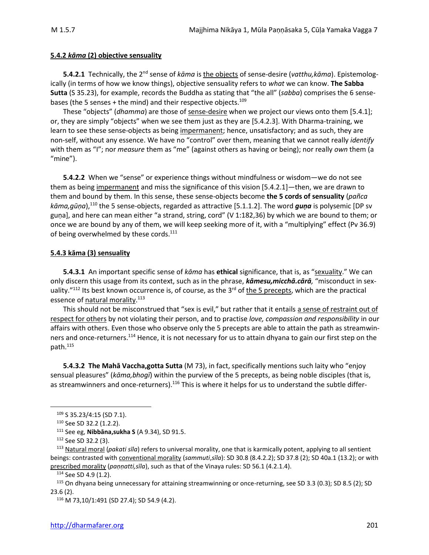#### **5.4.2** *kāma* **(2) objective sensuality**

**5.4.2.1** Technically, the 2nd sense of *kāma* is the objects of sense-desire (*vatthu,kāma*). Epistemologically (in terms of how we know things), objective sensuality refers to *what* we can know. **The Sabba Sutta** (S 35.23), for example, records the Buddha as stating that "the all" (*sabba*) comprises the 6 sensebases (the 5 senses + the mind) and their respective objects.<sup>109</sup>

These "objects" (*dhamma*) are those of sense-desire when we project our views onto them [5.4.1]; or, they are simply "objects" when we see them just as they are [5.4.2.3]. With Dharma-training, we learn to see these sense-objects as being impermanent; hence, unsatisfactory; and as such, they are non-self, without any essence. We have no "control" over them, meaning that we cannot really *identify* with them as "I"; nor *measure* them as "me" (against others as having or being); nor really *own* them (a "mine").

**5.4.2.2** When we "sense" or experience things without mindfulness or wisdom—we do not see them as being impermanent and miss the significance of this vision [5.4.2.1]—then, we are drawn to them and bound by them. In this sense, these sense-objects become **the 5 cords of sensuality** (*pañca* kāma,gūṇa),<sup>110</sup> the 5 sense-objects, regarded as attractive [5.1.1.2]. The word *guṇa* is polysemic [DP sv guṇa], and here can mean either "a strand, string, cord" (V 1:182,36) by which we are bound to them; or once we are bound by any of them, we will keep seeking more of it, with a "multiplying" effect (Pv 36.9) of being overwhelmed by these cords.<sup>111</sup>

#### **5.4.3 kāma (3) sensuality**

**5.4.3.1** An important specific sense of *kāma* has **ethical** significance, that is, as "sexuality." We can only discern this usage from its context, such as in the phrase, *kāmesu,micchā.cārā,* "misconduct in sexuality."<sup>112</sup> Its best known occurrence is, of course, as the 3<sup>rd</sup> of the 5 precepts, which are the practical essence of <u>natural morality</u>.<sup>113</sup>

This should not be misconstrued that "sex is evil," but rather that it entails a sense of restraint out of respect for others by not violating their person, and to practise *love, compassion and responsibility* in our affairs with others. Even those who observe only the 5 precepts are able to attain the path as streamwinners and once-returners.<sup>114</sup> Hence, it is not necessary for us to attain dhyana to gain our first step on the path.<sup>115</sup>

**5.4.3.2 The Mahā Vaccha,gotta Sutta** (M 73), in fact, specifically mentions such laity who "enjoy sensual pleasures" (*kāma,bhogī*) within the purview of the 5 precepts, as being noble disciples (that is, as streamwinners and once-returners).<sup>116</sup> This is where it helps for us to understand the subtle differ-

<sup>109</sup> S 35.23/4:15 (SD 7.1).

<sup>110</sup> See SD 32.2 (1.2.2).

<sup>111</sup> See eg, **Nibbāna,sukha S** (A 9.34), SD 91.5.

<sup>112</sup> See SD 32.2 (3).

<sup>113</sup> Natural moral (*pakati sīla*) refers to universal morality, one that is karmically potent, applying to all sentient beings: contrasted with conventional morality (*sammuti*,*sīla*): SD 30.8 (8.4.2.2); SD 37.8 (2); SD 40a.1 (13.2); or with prescribed morality (*paṇṇatti,sīla*), such as that of the Vinaya rules: SD 56.1 (4.2.1.4).

<sup>114</sup> See SD 4.9 (1.2).

<sup>115</sup> On dhyana being unnecessary for attaining streamwinning or once-returning, see SD 3.3 (0.3); SD 8.5 (2); SD 23.6 (2).

<sup>116</sup> M 73,10/1:491 (SD 27.4); SD 54.9 (4.2).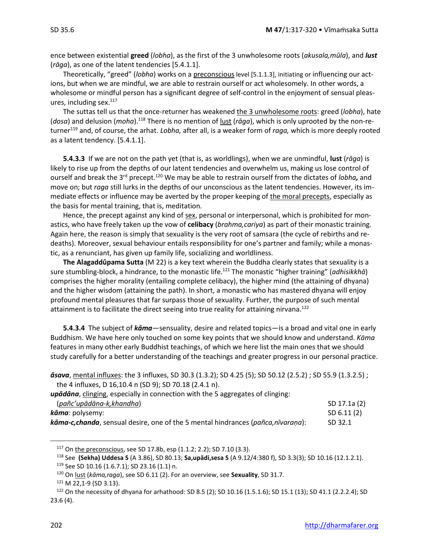ence between existential **greed** (*lobha*), as the first of the 3 unwholesome roots (*akusala,mūla*), and *lust* (*rāga*), as one of the latent tendencies [5.4.1.1].

Theoretically, "greed" (*lobha*) works on a preconscious level [5.1.1.3], initiating or influencing our actions, but when we are mindful, we are able to restrain ourself or act wholesomely. In other words, a wholesome or mindful person has a significant degree of self-control in the enjoyment of sensual pleasures, including sex. $117$ 

The suttas tell us that the once-returner has weakened the 3 unwholesome roots: greed (*lobha*), hate (dosa) and delusion (moha).<sup>118</sup> There is no mention of <u>lust</u> (rāga), which is only uprooted by the non-returner<sup>119</sup> and, of course, the arhat. *Lobha,* after all, is a weaker form of *raga,* which is more deeply rooted as a latent tendency. [5.4.1.1].

**5.4.3.3** If we are not on the path yet (that is, as worldlings), when we are unmindful, **lust** (*rāga*) is likely to rise up from the depths of our latent tendencies and overwhelm us, making us lose control of ourself and break the 3rd precept.<sup>120</sup> We may be able to restrain ourself from the dictates of *lobha,* and move on; but *raga* still lurks in the depths of our unconscious as the latent tendencies. However, its immediate effects or influence may be averted by the proper keeping of the moral precepts, especially as the basis for mental training, that is, meditation.

Hence, the precept against any kind of sex, personal or interpersonal, which is prohibited for monastics, who have freely taken up the vow of **celibacy** (*brahma,cariya*) as part of their monastic training. Again here, the reason is simply that sexuality is the very root of samsara (the cycle of rebirths and redeaths). Moreover, sexual behaviour entails responsibility for one's partner and family; while a monastic, as a renunciant, has given up family life, socializing and worldliness.

**The Alagaddûpama Sutta** (M 22) is a key text wherein the Buddha clearly states that sexuality is a sure stumbling-block, a hindrance, to the monastic life.<sup>121</sup> The monastic "higher training" (*adhisikkhā*) comprises the higher morality (entailing complete celibacy), the higher mind (the attaining of dhyana) and the higher wisdom (attaining the path). In short, a monastic who has mastered dhyana will enjoy profound mental pleasures that far surpass those of sexuality. Further, the purpose of such mental attainment is to facilitate the direct seeing into true reality for attaining nirvana.<sup>122</sup>

**5.4.3.4** The subject of *kāma*—sensuality, desire and related topics—is a broad and vital one in early Buddhism. We have here only touched on some key points that we should know and understand. *Kāma*  features in many other early Buddhist teachings, of which we here list the main ones that we should study carefully for a better understanding of the teachings and greater progress in our personal practice.

| $\bar{a}$ sava, mental influxes: the 3 influxes, SD 30.3 (1.3.2); SD 4.25 (5); SD 50.12 (2.5.2); SD 55.9 (1.3.2.5); |
|---------------------------------------------------------------------------------------------------------------------|
| the 4 influxes, D 16,10.4 n (SD 9); SD 70.18 (2.4.1 n).                                                             |
| - 그 - 큰 대통 : 2011년 10월 20일 - 2012년 2월 21일 - 2012년 2월 21일 - 2월 21일 - 2월 21일 - 2월 21일 - 2월 21일 - 2월 21일 - 2월 21일      |

|  |  |  |  |  |  | upādāna, clinging, especially in connection with the 5 aggregates of clinging: |  |
|--|--|--|--|--|--|--------------------------------------------------------------------------------|--|
|--|--|--|--|--|--|--------------------------------------------------------------------------------|--|

| (pañc'upādāna-k, khandha)                                                       | SD 17.1a (2) |
|---------------------------------------------------------------------------------|--------------|
| <i>kāma:</i> polysemy:                                                          | SD 6.11 (2)  |
| kāma-c,chanda, sensual desire, one of the 5 mental hindrances (pañca,nīvarana): | SD 32.1      |

<sup>117</sup> On the preconscious, see SD 17.8b, esp (1.1.2; 2.2); SD 7.10 (3.3).

<sup>118</sup> See **(Sekha) Uddesa S** (A 3.86), SD 80.13; **Sa,upādi,sesa S** (A 9.12/4:380 f), SD 3.3(3); SD 10.16 (12.1.2.1). <sup>119</sup> See SD 10.16 (1.6.7.1); SD 23.16 (1.1) n.

<sup>120</sup> On lust (*kāma,raga*), see SD 6.11 (2). For an overview, see **Sexuality**, SD 31.7.

<sup>121</sup> M 22,1-9 (SD 3.13).

<sup>122</sup> On the necessity of dhyana for arhathood: SD 8.5 (2); SD 10.16 (1.5.1.6); SD 15.1 (13); SD 41.1 (2.2.2.4); SD 23.6 (4).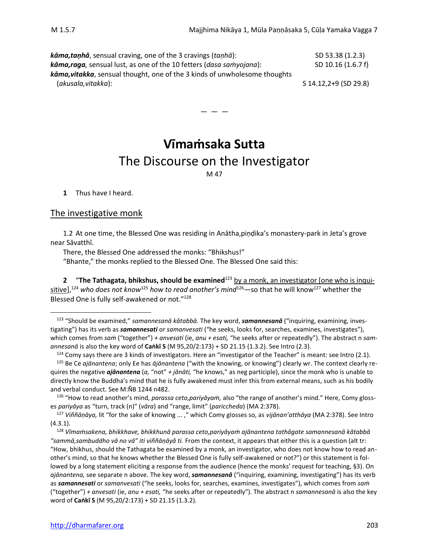*kāma,taṇhā*, sensual craving, one of the 3 cravings (*taṇhā*): SD 53.38 (1.2.3) *kāma,raga,* sensual lust, as one of the 10 fetters (*dasa saṁyojana*): SD 10.16 (1.6.7 f) *kāma,vitakka*, sensual thought, one of the 3 kinds of unwholesome thoughts (*akusala,vitakka*): S 14.12,2+9 (SD 29.8)

> **Vīmaṁsaka Sutta** The Discourse on the Investigator

— — —

M 47

**1** Thus have I heard.

#### The investigative monk

1.2 At one time, the Blessed One was residing in Anātha,piṇḍika's monastery-park in Jeta's grove near Sāvatthī.

There, the Blessed One addressed the monks: "Bhikshus!"

"Bhante," the monks replied to the Blessed One. The Blessed One said this:

**2** "**The Tathagata, bhikshus, should be examined**<sup>123</sup> by a monk, an investigator [one who is inquisitive],<sup>124</sup> who does not know<sup>125</sup> how to read another's mind<sup>126</sup>—so that he will know<sup>127</sup> whether the Blessed One is fully self-awakened or not."<sup>128</sup>

<sup>123</sup> "Should be examined," *samannesanā kātabbā.* The key word, *samannesanā* ("inquiring, examining, investigating") has its verb as *samannesati* or *samanvesati* ("he seeks, looks for, searches, examines, investigates"), which comes from *saṁ* ("together") *+ anvesati* (ie, *anu + esati,* "he seeks after or repeatedly"). The abstract n *samannesanā* is also the key word of **Caṅkī S** (M 95,20/2:173) + SD 21.15 (1.3.2). See Intro (2.3).

 $124$  Comy says there are 3 kinds of investigators. Here an "investigator of the Teacher" is meant: see Intro (2.1). <sup>125</sup> Be Ce *ajānantena*; only Ee has *ājānantena* ("with the knowing, or knowing") clearly wr. The context clearly requires the negative *ajānantena* (*a,* "not" *+ jānāti,* "he knows," as neg participle), since the monk who is unable to directly know the Buddha's mind that he is fully awakened must infer this from external means, such as his bodily and verbal conduct. See M:ÑB 1244 n482.

<sup>126</sup> "How to read another's mind, *parassa ceto,pariyāyaṁ,* also "the range of another's mind." Here, Comy glosses *pariyāya* as "turn, track (n)" (*vāra*) and "range, limit" (*pariccheda*) (MA 2:378).

<sup>127</sup> *Viññāṇāya,* lit "for the sake of knowing ... ," which Comy glosses so, as *vijānan'atthāya* (MA 2:378). See Intro (4.3.1).

<sup>128</sup> *Vīmaṁsakena, bhikkhave, bhikkhunā parassa ceto,pariyāyaṁ ajānantena tathāgate samannesanā kātabbā "sammā,sambuddho vā no vā" iti viññāṇāyâ ti.* From the context, it appears that either this is a question (alt tr: "How, bhikhus, should the Tathagata be examined by a monk, an investigator, who does not know how to read another's mind, so that he knows whether the Blessed One is fully self-awakened or not?") or this statement is followed by a long statement eliciting a response from the audience (hence the monks' request for teaching, §3). On *ajānantena,* see separate n above. The key word, *samannesanā* ("inquiring, examining, investigating") has its verb as *samannesati* or *samanvesati* ("he seeks, looks for, searches, examines, investigates"), which comes from *saṁ*  ("together") *+ anvesati* (ie, *anu + esati,* "he seeks after or repeatedly"). The abstract n *samannesanā* is also the key word of **Caṅkī S** (M 95,20/2:173) + SD 21.15 (1.3.2).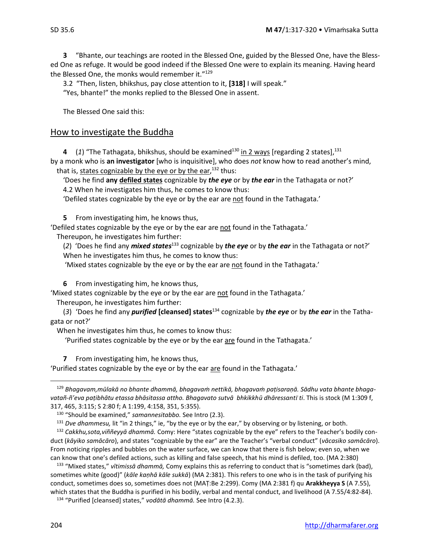**3** "Bhante, our teachings are rooted in the Blessed One, guided by the Blessed One, have the Blessed One as refuge. It would be good indeed if the Blessed One were to explain its meaning. Having heard the Blessed One, the monks would remember it."<sup>129</sup>

3.2 "Then, listen, bhikshus, pay close attention to it, **[318]** I will speak."

"Yes, bhante!" the monks replied to the Blessed One in assent.

The Blessed One said this:

# How to investigate the Buddha

**4** (1) "The Tathagata, bhikshus, should be examined<sup>130</sup> in 2 ways [regarding 2 states],<sup>131</sup>

by a monk who is **an investigator** [who is inquisitive], who does *not* know how to read another's mind, that is, states cognizable by the eye or by the ear,<sup>132</sup> thus:

'Does he find **any defiled states** cognizable by *the eye* or by *the ear* in the Tathagata or not?' 4.2 When he investigates him thus, he comes to know thus:

'Defiled states cognizable by the eye or by the ear are not found in the Tathagata.'

**5** From investigating him, he knows thus,

'Defiled states cognizable by the eye or by the ear are not found in the Tathagata.'

Thereupon, he investigates him further:

(*2*) 'Does he find any *mixed states*<sup>133</sup> cognizable by *the eye* or by *the ear* in the Tathagata or not?' When he investigates him thus, he comes to know thus:

'Mixed states cognizable by the eye or by the ear are not found in the Tathagata.'

**6** From investigating him, he knows thus,

'Mixed states cognizable by the eye or by the ear are not found in the Tathagata.'

Thereupon, he investigates him further:

(*3*) 'Does he find any *purified* **[cleansed] states**<sup>134</sup> cognizable by *the eye* or by *the ear* in the Tathagata or not?'

When he investigates him thus, he comes to know thus:

'Purified states cognizable by the eye or by the ear are found in the Tathagata.'

**7** From investigating him, he knows thus,

'Purified states cognizable by the eye or by the ear are found in the Tathagata.'

<sup>129</sup> *Bhagavam,mūlakā no bhante dhammā, bhagavaṁ nettikā, bhagavaṁ paṭisaraṇā. Sādhu vata bhante bhagavatañ-ñ'eva paṭibhātu etassa bhāsitassa attho. Bhagavato sutvā bhkikkhū dhāressant ti*. This is stock (M 1:309 f, 317, 465, 3:115; S 2:80 f; A 1:199, 4:158, 351, 5:355).

<sup>130</sup> "Should be examined," *samannesitabbo.* See Intro (2.3).

<sup>&</sup>lt;sup>131</sup> *Dve dhammesu,* lit "in 2 things," ie, "by the eye or by the ear," by observing or by listening, or both.

<sup>132</sup> *Cakkhu,sota,viññeyyā dhammā.* Comy: Here "states cognizable by the eye" refers to the Teacher's bodily conduct (*kāyiko samācāro*), and states "cognizable by the ear" are the Teacher's "verbal conduct" (*vācasiko samācāro*). From noticing ripples and bubbles on the water surface, we can know that there is fish below; even so, when we can know that one's defiled actions, such as killing and false speech, that his mind is defiled, too. (MA 2:380)

<sup>133</sup> "Mixed states," *vītimissā dhammā,* Comy explains this as referring to conduct that is "sometimes dark (bad), sometimes white (good)" (*kāle kaṇhā kāle sukkā*) (MA 2:381). This refers to one who is in the task of purifying his conduct, sometimes does so, sometimes does not (MAṬ:Be 2:299). Comy (MA 2:381 f) qu **Arakkheyya S** (A 7.55), which states that the Buddha is purified in his bodily, verbal and mental conduct, and livelihood (A 7.55/4:82-84).

<sup>134</sup> "Purified [cleansed] states," *vodātā dhammā.* See Intro (4.2.3).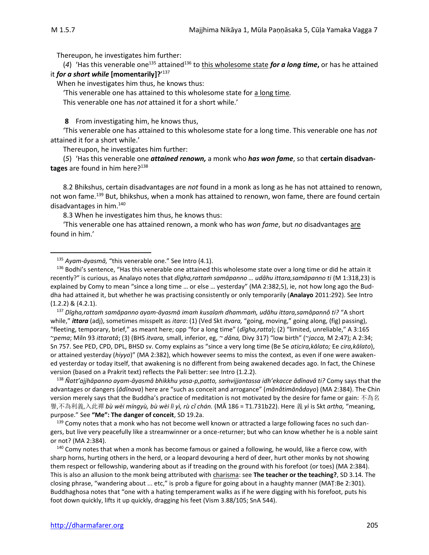Thereupon, he investigates him further:

(4) 'Has this venerable one<sup>135</sup> attained<sup>136</sup> to <u>this wholesome state</u> *for a long time*, or has he attained it *for a short while* **[momentarily]?**' 137

When he investigates him thus, he knows thus:

'This venerable one has attained to this wholesome state for a long time*.*

This venerable one has *not* attained it for a short while.'

**8** From investigating him, he knows thus,

'This venerable one has attained to this wholesome state for a long time. This venerable one has *not* attained it for a short while.'

Thereupon, he investigates him further:

(*5*) 'Has this venerable one *attained renown,* a monk who *has won fame*, so that **certain disadvantages** are found in him here? 138

8.2 Bhikshus, certain disadvantages are *not* found in a monk as long as he has not attained to renown, not won fame.<sup>139</sup> But, bhikshus, when a monk has attained to renown, won fame, there are found certain disadvantages in him.<sup>140</sup>

8.3 When he investigates him thus, he knows thus:

'This venerable one has attained renown, a monk who has *won fame*, but *no* disadvantages are found in him.'

<sup>138</sup> *Ñatt'ajjhāpanno ayam-āyasmā bhikkhu yasa-p,patto, saṁvijjantassa idh'ekacce ādīnavâ ti?* Comy says that the advantages or dangers (*ādīnava*) here are "such as conceit and arrogance" (*mānâtimānâdayo*) (MA 2:384). The Chin version merely says that the Buddha's practice of meditation is not motivated by the desire for fame or gain: 不為名 譽,不為利義,入此禪 *bù wèi míngyù, bù wèi lì yì, rù cǐ chán.* (MĀ 186 = T1.731b22). Here 義 *yì* is Skt *artha,* "meaning, purpose." See **"Me": The danger of conceit**, SD 19.2a.

<sup>139</sup> Comy notes that a monk who has not become well known or attracted a large following faces no such dangers, but live very peacefully like a streamwinner or a once-returner; but who can know whether he is a noble saint or not? (MA 2:384).

<sup>140</sup> Comy notes that when a monk has become famous or gained a following, he would, like a fierce cow, with sharp horns, hurting others in the herd, or a leopard devouring a herd of deer, hurt other monks by not showing them respect or fellowship, wandering about as if treading on the ground with his forefoot (or toes) (MA 2:384). This is also an allusion to the monk being attributed with charisma: see **The teacher or the teaching?**, SD 3.14. The closing phrase, "wandering about ... etc," is prob a figure for going about in a haughty manner (MAṬ:Be 2:301). Buddhaghosa notes that "one with a hating temperament walks as if he were digging with his forefoot, puts his foot down quickly, lifts it up quickly, dragging his feet (Vism 3.88/105; SnA 544).

<sup>135</sup> *Ayam-āyasmā,* "this venerable one." See Intro (4.1).

<sup>136</sup> Bodhi's sentence, "Has this venerable one attained this wholesome state over a long time or did he attain it recently?" is curious, as Analayo notes that *dīgha,rattaṁ samāpanno … udāhu ittara,samāpanno ti* (M 1:318,23) is explained by Comy to mean "since a long time … or else … yesterday" (MA 2:382,5), ie, not how long ago the Buddha had attained it, but whether he was practising consistently or only temporarily (**Analayo** 2011:292). See Intro (1.2.2) & (4.2.1).

<sup>137</sup> *Dīgha,rattaṁ samāpanno ayam-āyasmā imaṁ kusalaṁ dhammaṁ, udāhu ittara,samāpannô ti?* "A short while," *ittara* (adj), sometimes misspelt as *itara*: (1) (Ved Skt *itvara,* "going, moving," going along, (fig) passing), "fleeting, temporary, brief," as meant here; opp "for a long time" (*dīgha,ratta*); (2) "limited, unreliable," A 3:165 ~*pema*; Miln 93 *ittaratā*; (3) (BHS *itvara,* small, inferior, eg, *~ dāna,* Divy 317) "low birth" (~*jacca,* M 2:47); A 2:34; Sn 757. See PED, CPD, DPL, BHSD sv. Comy explains as "since a very long time (Be Se *aticira,kālato;* Ee *cira,kālato*), or attained yesterday (*hiyyo*)" (MA 2:382), which however seems to miss the context, as even if one were awakened yesterday or today itself, that awakening is no different from being awakened decades ago. In fact, the Chinese version (based on a Prakrit text) reflects the Pali better: see Intro (1.2.2).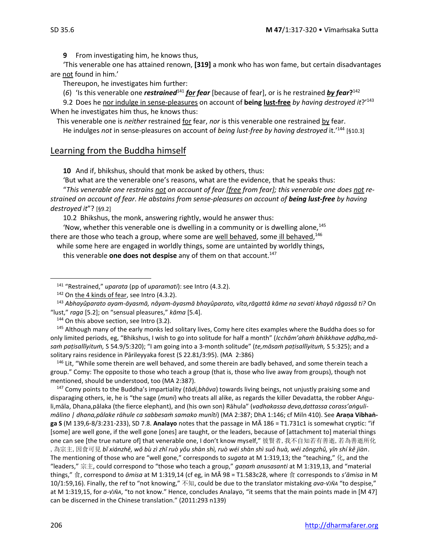**9** From investigating him, he knows thus,

'This venerable one has attained renown, **[319]** a monk who has won fame, but certain disadvantages are not found in him.'

Thereupon, he investigates him further:

(6) 'Is this venerable one *restrained*<sup>141</sup> *for fear* [because of fear], or is he restrained *by fear*?<sup>142</sup>

9.2 Does he nor indulge in sense-pleasures on account of **being lust-free** *by having destroyed it*?' 143 When he investigates him thus, he knows thus:

This venerable one is *neither* restrained for fear, *nor* is this venerable one restrained by fear.

He indulges *not* in sense-pleasures on account of *being lust-free by having destroyed* it.' <sup>144</sup> [§10.3]

# Learning from the Buddha himself

**10** And if, bhikshus, should that monk be asked by others, thus:

'But what are the venerable one's reasons, what are the evidence, that he speaks thus:

"*This venerable one restrains not on account of fear [free from fear]; this venerable one does not restrained on account of fear*. *He abstains from sense-pleasures on account of being lust-free by having destroyed it*"? [§9.2]

10.2 Bhikshus, the monk, answering rightly, would he answer thus:

'Now, whether this venerable one is dwelling in a community or is dwelling alone, $145$ there are those who teach a group, where some are <u>well behaved</u>, some ill behaved, <sup>146</sup>

while some here are engaged in worldly things, some are untainted by worldly things,

this venerable **one does not despise** any of them on that account.<sup>147</sup>

 $144$  On this above section, see Intro (3.2).

<sup>145</sup> Although many of the early monks led solitary lives, Comy here cites examples where the Buddha does so for only limited periods, eg, "Bhikshus, I wish to go into solitude for half a month" (*Icchām'ahaṁ bhikkhave aḍḍha,māsaṁ paṭisallīyituṁ,* S 54.9/5:320); "I am going into a 3-month solitude" (*te,māsaṁ paṭisallīyituṁ,* S 5:325); and a solitary rains residence in Pārileyyaka forest (S 22.81/3:95). (MA 2:386)

<sup>146</sup> Lit, "While some therein are well behaved, and some therein are badly behaved, and some therein teach a group." Comy: The opposite to those who teach a group (that is, those who live away from groups), though not mentioned, should be understood, too (MA 2:387).

<sup>147</sup> Comy points to the Buddha's impartiality (*tādi,bhāva*) towards living beings, not unjustly praising some and disparaging others, ie, he is "the sage (*muni*) who treats all alike, as regards the killer Devadatta, the robber Aṅguli,māla, Dhana,pālaka (the fierce elephant), and (his own son) Rāhula" (*vadhakassa deva,dattassa corass'aṅgulimālino | dhana,pālake rāhule ca sabbesaṁ samako munîti*) (MA 2:387; DhA 1:146; cf Miln 410). See **Araṇa Vibhaṅga S** (M 139,6-8/3:231-233), SD 7.8. **Analayo** notes that the passage in MĀ 186 = T1.731c1 is somewhat cryptic: "if [some] are well gone, if the well gone [ones] are taught, or the leaders, because of [attachment to] material things one can see [the true nature of] that venerable one, I don't know myself," 彼賢者,我不自知若有善逝,若為善逝所化 ,為宗主,因食可見 *bǐ xiánzhě, wǒ bù zì zhī ruò yǒu shàn shì, ruò wéi shàn shì suǒ huà, wéi zōngzhǔ, yīn shí kě jiàn*. The mentioning of those who are "well gone," corresponds to *sugata* at M 1:319,13; the "teaching," 化, and the "leaders," 宗主, could correspond to "those who teach a group," *gaṇaṁ anusasanti* at M 1:319,13, and "material things," 食, correspond to *āmisa* at M 1:319,14 (cf eg, in MĀ 98 = T1.583c28, where 食 corresponds to *s'āmisa* in M 10/1:59,16). Finally, the ref to "not knowing," 不知, could be due to the translator mistaking *ava-√JÑA* "to despise," at M 1:319,15, for *a-√JÑA*, "to not know." Hence, concludes Analayo, "it seems that the main points made in [M 47] can be discerned in the Chinese translation." (2011:293 n139)

<sup>141</sup> "Restrained," *uparata* (pp of *uparamati*): see Intro (4.3.2).

 $142$  On the 4 kinds of fear, see Intro (4.3.2).

<sup>143</sup> *Abhayûparato ayam-āyasmā, nâyam-āyasmā bhayûparato, vīta,rāgattā kāme na sevati khayā rāgassâ ti?* On "lust," *raga* [5.2]; on "sensual pleasures," *kāma* [5.4].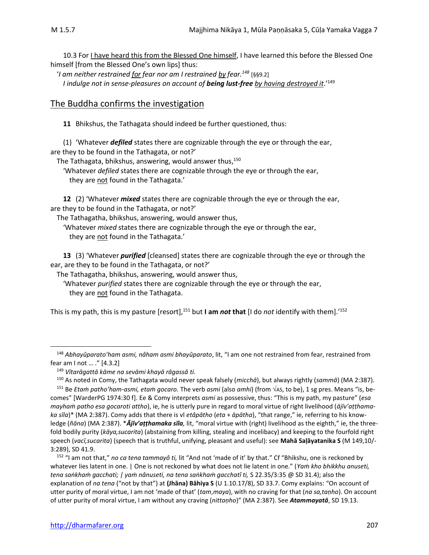10.3 For I have heard this from the Blessed One himself, I have learned this before the Blessed One himself [from the Blessed One's own lips] thus:

'*I am neither restrained for fear nor am I restrained by fear.<sup>148</sup>* [§§9.2] *I indulge not in sense-pleasures on account of being lust-free by having destroyed it*.'<sup>149</sup>

# The Buddha confirms the investigation

**11** Bhikshus, the Tathagata should indeed be further questioned, thus:

(1) 'Whatever *defiled* states there are cognizable through the eye or through the ear, are they to be found in the Tathagata, or not?'

The Tathagata, bhikshus, answering, would answer thus, 150

'Whatever *defiled* states there are cognizable through the eye or through the ear, they are not found in the Tathagata.'

**12** (2) 'Whatever *mixed* states there are cognizable through the eye or through the ear, are they to be found in the Tathagata, or not?'

The Tathagatha, bhikshus, answering, would answer thus,

'Whatever *mixed* states there are cognizable through the eye or through the ear, they are not found in the Tathagata.'

**13** (3) 'Whatever *purified* [cleansed] states there are cognizable through the eye or through the ear, are they to be found in the Tathagata, or not?'

The Tathagatha, bhikshus, answering, would answer thus,

'Whatever *purified* states there are cognizable through the eye or through the ear, they are not found in the Tathagata.

This is my path, this is my pasture [resort], <sup>151</sup> but **I am** *not* **that** [I do *not* identify with them].'<sup>152</sup>

<sup>148</sup> *Abhayûparato'ham asmi, nâham asmi bhayûparato*, lit, "I am one not restrained from fear, restrained from fear am I not … ." [4.3.2]

<sup>149</sup> *Vītarāgattā kāme na sevāmi khayā rāgassā ti.*

<sup>150</sup> As noted in Comy, the Tathagata would never speak falsely (*micchā*), but always rightly (*sammā*) (MA 2:387).

<sup>&</sup>lt;sup>151</sup> Be *Etam patho'ham-asmi, etam gocaro*. The verb *asmi* (also *amhi*) (from √As, to be), 1 sg pres. Means "is, becomes" [WarderPG 1974:30 f]. Ee & Comy interprets *asmi* as possessive, thus: "This is my path, my pasture" (*esa mayhaṁ patho esa gocaroti attho*), ie, he is utterly pure in regard to moral virtue of right livelihood (*ājīv'aṭṭhamaka sīla*)\* (MA 2:387). Comy adds that there is vl *etâpātho* (*eta* + *āpātha*), "that range," ie, referring to his knowledge (*ñāna*) (MA 2:387). \**Ājīv'aṭṭhamaka sīla,* lit, "moral virtue with (right) livelihood as the eighth," ie, the threefold bodily purity (*kāya,sucarita*) (abstaining from killing, stealing and incelibacy) and keeping to the fourfold right speech (*vacī,sucarita*) (speech that is truthful, unifying, pleasant and useful): see **Mahā Saḷāyatanika S** (M 149,10/- 3:289), SD 41.9.

<sup>152</sup> "I am not that," *no ca tena tammayô ti,* lit "And not 'made of it' by that." Cf "Bhikshu, one is reckoned by whatever lies latent in one. | One is not reckoned by what does not lie latent in one." (*Yam kho bhikkhu anuseti, tena saṅkhaṁ gacchati; | yaṁ nânuseti, na tena saṅkhaṁ gacchatî ti,* S 22.35/3:35 @ SD 31.4); also the explanation of *na tena* ("not by that") at **(Jhāna) Bāhiya S** (U 1.10.17/8), SD 33.7. Comy explains: "On account of utter purity of moral virtue, I am not 'made of that' (*tam*,*maya*), with no craving for that (*na sa,taṇho*). On account of utter purity of moral virtue, I am without any craving (*nittaṇho*)" (MA 2:387). See *Atammayatā*, SD 19.13.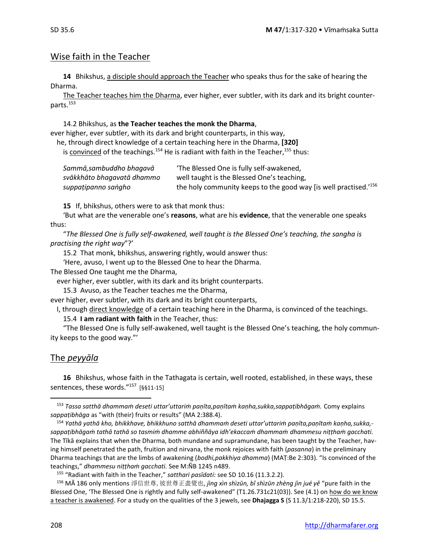# Wise faith in the Teacher

**14** Bhikshus, a disciple should approach the Teacher who speaks thus for the sake of hearing the Dharma.

The Teacher teaches him the Dharma, ever higher, ever subtler, with its dark and its bright counterparts.<sup>153</sup>

14.2 Bhikshus, as **the Teacher teaches the monk the Dharma**,

ever higher, ever subtler, with its dark and bright counterparts, in this way,

he, through direct knowledge of a certain teaching here in the Dharma, **[320]** 

is convinced of the teachings.<sup>154</sup> He is radiant with faith in the Teacher,<sup>155</sup> thus:

| Sammā,sambuddho bhaqavā    | 'The Blessed One is fully self-awakened,                                     |
|----------------------------|------------------------------------------------------------------------------|
| svākkhāto bhagavatā dhammo | well taught is the Blessed One's teaching,                                   |
| suppațipanno sangho        | the holy community keeps to the good way [is well practised. <sup>'156</sup> |

**15** If, bhikshus, others were to ask that monk thus:

'But what are the venerable one's **reasons**, what are his **evidence**, that the venerable one speaks thus:

"*The Blessed One is fully self-awakened, well taught is the Blessed One's teaching, the sangha is practising the right way*"?'

15.2 That monk, bhikshus, answering rightly, would answer thus:

'Here, avuso, I went up to the Blessed One to hear the Dharma.

The Blessed One taught me the Dharma,

ever higher, ever subtler, with its dark and its bright counterparts.

15.3 Avuso, as the Teacher teaches me the Dharma,

ever higher, ever subtler, with its dark and its bright counterparts,

I, through direct knowledge of a certain teaching here in the Dharma, is convinced of the teachings.

15.4 **I am radiant with faith** in the Teacher, thus:

"The Blessed One is fully self-awakened, well taught is the Blessed One's teaching, the holy community keeps to the good way."'

# The *peyyāla*

**16** Bhikshus, whose faith in the Tathagata is certain, well rooted, established, in these ways, these sentences, these words." <sup>157</sup> [§§11-15]

<sup>153</sup> *Tassa satthā dhammaṁ deseti uttar'uttariṁ paṇīta,paṇītaṁ kaṇha,sukka,sappaṭibhāgaṁ.* Comy explains *sappaṭibhāga* as "with (their) fruits or results" (MA 2:388.4).

<sup>154</sup> *Yathā yathā kho, bhikkhave, bhikkhuno satthā dhammaṁ deseti uttar'uttariṁ paṇīta,paṇītaṁ kaṇha,sukka, sappaṭibhāgaṁ tathā tathā so tasmiṁ dhamme abhiññāya idh'ekaccaṁ dhammaṁ dhammesu niṭṭhaṁ gacchati.*  The Tīkā explains that when the Dharma, both mundane and supramundane, has been taught by the Teacher, having himself penetrated the path, fruition and nirvana, the monk rejoices with faith (*pasanna*) in the preliminary Dharma teachings that are the limbs of awakening (*bodhi,pakkhiya dhamma*) (MAṬ:Be 2:303). "Is convinced of the teachings," *dhammesu niṭṭhaṁ gacchati.* See M:ÑB 1245 n489.

<sup>155</sup> "Radiant with faith in the Teacher," *satthari pasīdati:* see SD 10.16 (11.3.2.2).

<sup>&</sup>lt;sup>156</sup> MĀ 186 only mentions 淨信世尊, 彼世尊正盡覺也, *jìng xìn shìzūn, bǐ shìzūn zhèng jìn jué yě* "pure faith in the Blessed One, 'The Blessed One is rightly and fully self-awakened" (T1.26.731c21(03)). See (4.1) on how do we know a teacher is awakened. For a study on the qualities of the 3 jewels, see **Dhajagga S** (S 11.3/1:218-220), SD 15.5.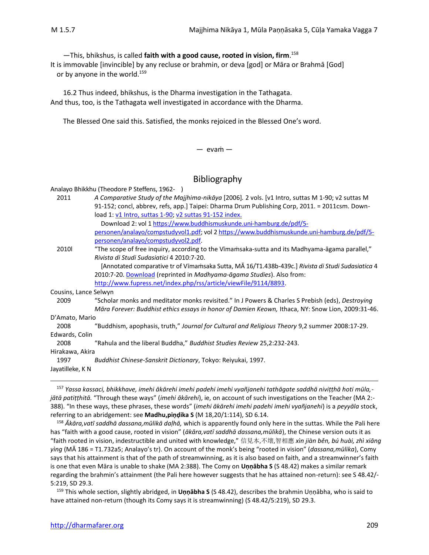—This, bhikshus, is called **faith with a good cause, rooted in vision, firm**. 158 It is immovable [invincible] by any recluse or brahmin, or deva [god] or Māra or Brahmā [God] or by anyone in the world.<sup>159</sup>

16.2 Thus indeed, bhikshus, is the Dharma investigation in the Tathagata. And thus, too, is the Tathagata well investigated in accordance with the Dharma.

The Blessed One said this. Satisfied, the monks rejoiced in the Blessed One's word.

#### $-$  evam $-$

### Bibliography

Analayo Bhikkhu (Theodore P Steffens, 1962- ) 2011 *A Comparative Study of the Majjhima-nikāya* [2006]*.* 2 vols. [v1 Intro, suttas M 1-90; v2 suttas M 91-152; concl, abbrev, refs, app.] Taipei: Dharma Drum Publishing Corp, 2011. = 2011csm. Download 1: [v1 Intro, suttas 1-90;](https://www.buddhismuskunde.uni-hamburg.de/pdf/5-personen/analayo/compstudyvol1.pdf) [v2 suttas 91-152](https://www.buddhismuskunde.uni-hamburg.de/pdf/5-personen/analayo/compstudyvol2.pdf) index. Download 2: vol [1 https://www.buddhismuskunde.uni-hamburg.de/pdf/5](https://www.buddhismuskunde.uni-hamburg.de/pdf/5-personen/analayo/compstudyvol1.pdf) [personen/analayo/compstudyvol1.pdf;](https://www.buddhismuskunde.uni-hamburg.de/pdf/5-personen/analayo/compstudyvol1.pdf) vol [2 https://www.buddhismuskunde.uni-hamburg.de/pdf/5](https://www.buddhismuskunde.uni-hamburg.de/pdf/5-personen/analayo/compstudyvol2.pdf) [personen/analayo/compstudyvol2.pdf.](https://www.buddhismuskunde.uni-hamburg.de/pdf/5-personen/analayo/compstudyvol2.pdf) 2010l "The scope of free inquiry, according to the Vīmaṁsaka-sutta and its Madhyama-āgama parallel," *Rivista di Studi Sudasiatici* 4 2010:7-20. [Annotated comparative tr of Vīmaṁsaka Sutta, MĀ 16/T1.438b-439c.] *Rivista di Studi Sudasiatica* 4 2010:7-20. [Download](http://www.buddhismuskunde.uni-hamburg.de/fileadmin/pdf/analayo/ScopeFreeInquiry.pdf) (reprinted in *Madhyama-āgama Studies*). Also from: [http://www.fupress.net/index.php/rss/article/viewFile/9114/8893.](http://www.fupress.net/index.php/rss/article/viewFile/9114/8893) Cousins, Lance Selwyn 2009 "Scholar monks and meditator monks revisited." In J Powers & Charles S Prebish (eds), *Destroying Māra Forever: Buddhist ethics essays in honor of Damien Keown, Ithaca, NY: Snow Lion, 2009:31-46.* D'Amato, Mario 2008 "Buddhism, apophasis, truth," *Journal for Cultural and Religious Theory* 9,2 summer 2008:17-29. Edwards, Colin 2008 "Rahula and the liberal Buddha," *Buddhist Studies Review* 25,2:232-243. Hirakawa, Akira 1997 *Buddhist Chinese-Sanskrit Dictionary*, Tokyo: Reiyukai, 1997. Jayatilleke, K N

<sup>157</sup> *Yassa kassaci, bhikkhave, imehi ākārehi imehi padehi imehi vyañjanehi tathāgate saddhā niviṭṭhā hoti mūla, jātā patiṭṭhitā.* "Through these ways" (*imehi ākārehi*), ie, on account of such investigations on the Teacher (MA 2:- 388). "In these ways, these phrases, these words" (*imehi ākārehi imehi padehi imehi vyañjanehi*) is a *peyyāla* stock, referring to an abridgement: see **Madhu,piṇḍika S** (M 18,20/1:114), SD 6.14.

<sup>158</sup> *Ākāra,vatī saddhā dassana,mūlikā daḷhā,* which is apparently found only here in the suttas. While the Pali here has "faith with a good cause, rooted in vision" (*ākāra,vatī saddhā dassana,mūlikā*), the Chinese version outs it as "faith rooted in vision, indestructible and united with knowledge," 信見本,不壞,智相應 *xìn jiàn běn, bú huài, zhì xiāng yìng* (MĀ 186 = T1.732a5; Analayo's tr). On account of the monk's being "rooted in vision" (*dassana,mūlika*), Comy says that his attainment is that of the path of streamwinning, as it is also based on faith, and a streamwinner's faith is one that even Māra is unable to shake (MA 2:388). The Comy on **Uṇṇābha S** (S 48.42) makes a similar remark regarding the brahmin's attainment (the Pali here however suggests that he has attained non-return): see S 48.42/- 5:219, SD 29.3.

<sup>159</sup> This whole section, slightly abridged, in **Uṇṇābha S** (S 48.42), describes the brahmin Uṇṇābha, who is said to have attained non-return (though its Comy says it is streamwinning) (S 48.42/5:219), SD 29.3.